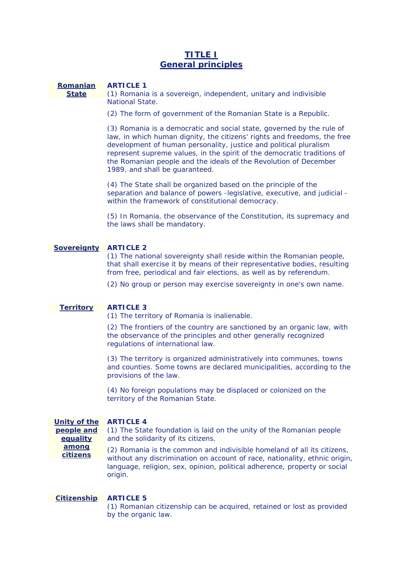# **TITLE I General principles**

#### **Romanian ARTICLE 1**

**State** 

(1) Romania is a sovereign, independent, unitary and indivisible National State.

(2) The form of government of the Romanian State is a Republic.

 development of human personality, justice and political pluralism (3) Romania is a democratic and social state, governed by the rule of law, in which human dignity, the citizens' rights and freedoms, the free represent supreme values, in the spirit of the democratic traditions of the Romanian people and the ideals of the Revolution of December 1989, and shall be guaranteed.

(4) The State shall be organized based on the principle of the separation and balance of powers -legislative, executive, and judicial within the framework of constitutional democracy.

 the laws shall be mandatory. (5) In Romania, the observance of the Constitution, its supremacy and

# **Sovereignty ARTICLE 2**

from free, periodical and fair elections, as well as by referendum. (1) The national sovereignty shall reside within the Romanian people, that shall exercise it by means of their representative bodies, resulting

(2) No group or person may exercise sovereignty in one's own name.

#### **Territory ARTICLE 3**

(1) The territory of Romania is inalienable.

regulations of international law. (2) The frontiers of the country are sanctioned by an organic law, with the observance of the principles and other generally recognized

 provisions of the law. (3) The territory is organized administratively into communes, towns and counties. Some towns are declared municipalities, according to the

 territory of the Romanian State. (4) No foreign populations may be displaced or colonized on the

#### **Unity of the ARTICLE 4**

and the solidarity of its citizens. **people and equality**  (1) The State foundation is laid on the unity of the Romanian people

 origin. **among citizens**  (2) Romania is the common and indivisible homeland of all its citizens, without any discrimination on account of race, nationality, ethnic origin, language, religion, sex, opinion, political adherence, property or social

#### **Citizenship ARTICLE 5**

(1) Romanian citizenship can be acquired, retained or lost as provided by the organic law.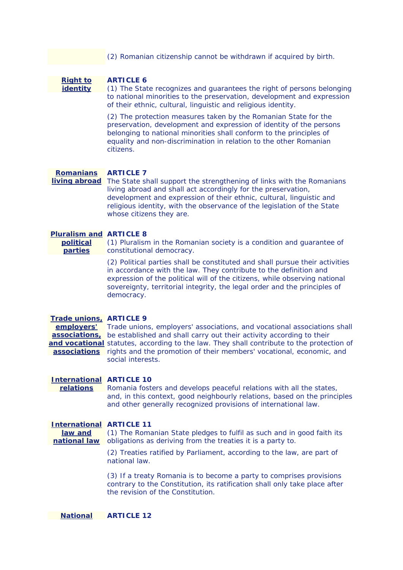(2) Romanian citizenship cannot be withdrawn if acquired by birth.

**Right to identity** 

# **ARTICLE 6**

of their ethnic, cultural, linguistic and religious identity. (1) The State recognizes and guarantees the right of persons belonging to national minorities to the preservation, development and expression

(2) The protection measures taken by the Romanian State for the preservation, development and expression of identity of the persons belonging to national minorities shall conform to the principles of equality and non-discrimination in relation to the other Romanian citizens.

#### **Romanians ARTICLE 7**

**living abroad** The State shall support the strengthening of links with the Romanians living abroad and shall act accordingly for the preservation, development and expression of their ethnic, cultural, linguistic and religious identity, with the observance of the legislation of the State whose citizens they are.

#### **Pluralism and ARTICLE 8**

**political parties** 

(1) Pluralism in the Romanian society is a condition and guarantee of constitutional democracy.

 (2) Political parties shall be constituted and shall pursue their activities in accordance with the law. They contribute to the definition and expression of the political will of the citizens, while observing national sovereignty, territorial integrity, the legal order and the principles of democracy.

#### **Trade unions, ARTICLE 9**

**employers'**  Trade unions, employers' associations, and vocational associations shall **associations**, be established and shall carry out their activity according to their and vocational statutes, according to the law. They shall contribute to the protection of **associations**  rights and the promotion of their members' vocational, economic, and social interests.

#### **International ARTICLE 10**

**relations**  Romania fosters and develops peaceful relations with all the states, and, in this context, good neighbourly relations, based on the principles and other generally recognized provisions of international law.

### **International ARTICLE 11**

**national law** obligations as deriving from the treaties it is a party to. **law and**  (1) The Romanian State pledges to fulfil as such and in good faith its

> (2) Treaties ratified by Parliament, according to the law, are part of national law.

(3) If a treaty Romania is to become a party to comprises provisions contrary to the Constitution, its ratification shall only take place after the revision of the Constitution.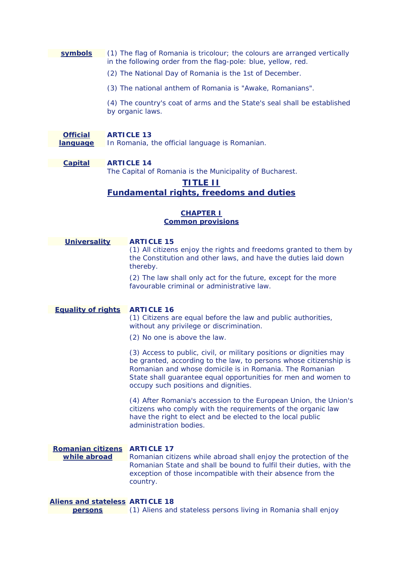# **symbols** (1) The flag of Romania is tricolour; the colours are arranged vertically in the following order from the flag-pole: blue, yellow, red.

- (2) The National Day of Romania is the 1st of December.
- (3) The national anthem of Romania is "Awake, Romanians".

(4) The country's coat of arms and the State's seal shall be established by organic laws.

### **Official ARTICLE 13**

**language** In Romania, the official language is Romanian.

# **Capital ARTICLE 14**

The Capital of Romania is the Municipality of Bucharest.

# **TITLE II**

# **Fundamental rights, freedoms and duties**

# **CHAPTER I Common provisions**

| <b>Universality</b>       | <b>ARTICLE 15</b><br>(1) All citizens enjoy the rights and freedoms granted to them by<br>the Constitution and other laws, and have the duties laid down                                                                                                                                                      |
|---------------------------|---------------------------------------------------------------------------------------------------------------------------------------------------------------------------------------------------------------------------------------------------------------------------------------------------------------|
|                           | thereby.<br>(2) The law shall only act for the future, except for the more<br>favourable criminal or administrative law.                                                                                                                                                                                      |
| <b>Equality of rights</b> | <b>ARTICLE 16</b><br>(1) Citizens are equal before the law and public authorities,<br>without any privilege or discrimination.                                                                                                                                                                                |
|                           | (2) No one is above the law.                                                                                                                                                                                                                                                                                  |
|                           | (3) Access to public, civil, or military positions or dignities may<br>be granted, according to the law, to persons whose citizenship is<br>Romanian and whose domicile is in Romania. The Romanian<br>State shall guarantee equal opportunities for men and women to<br>occupy such positions and dignities. |
|                           | (4) After Romania's accession to the European Union, the Union's<br>citizens who comply with the requirements of the organic law<br>have the right to elect and be elected to the local public<br>administration bodies.                                                                                      |
| <b>Romanian citizens</b>  | <b>ARTICLE 17</b>                                                                                                                                                                                                                                                                                             |
| while abroad              | Romanian citizens while abroad shall enjoy the protection of the<br>Romanian State and shall be bound to fulfil their duties, with the<br>exception of those incompatible with their absence from the<br>country.                                                                                             |

# **Aliens and stateless ARTICLE 18 persons** (1) Aliens and stateless persons living in Romania shall enjoy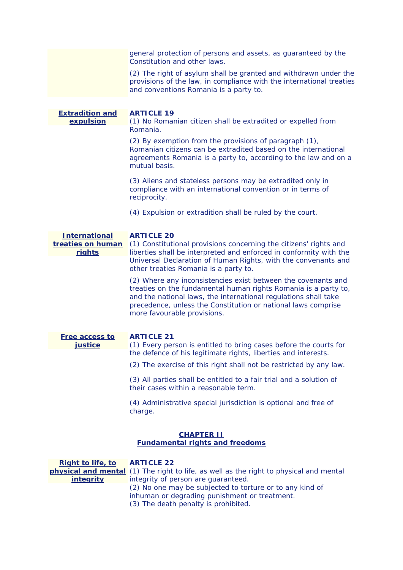general protection of persons and assets, as guaranteed by the Constitution and other laws.

(2) The right of asylum shall be granted and withdrawn under the provisions of the law, in compliance with the international treaties and conventions Romania is a party to.

**Extradition and expulsion ARTICLE 19**  (1) No Romanian citizen shall be extradited or expelled from Romania.

> (2) By exemption from the provisions of paragraph (1), Romanian citizens can be extradited based on the international agreements Romania is a party to, according to the law and on a mutual basis.

(3) Aliens and stateless persons may be extradited only in compliance with an international convention or in terms of reciprocity.

(4) Expulsion or extradition shall be ruled by the court.

#### **International ARTICLE 20**

**treaties on human**  (1) Constitutional provisions concerning the citizens' rights and **rights**  liberties shall be interpreted and enforced in conformity with the Universal Declaration of Human Rights, with the convenants and other treaties Romania is a party to.

> more favourable provisions. (2) Where any inconsistencies exist between the covenants and treaties on the fundamental human rights Romania is a party to, and the national laws, the international regulations shall take precedence, unless the Constitution or national laws comprise

| Free access to |  |
|----------------|--|
| <i>iustice</i> |  |

## **ARTICLE 21**

the defence of his legitimate rights, liberties and interests. (1) Every person is entitled to bring cases before the courts for

the defence of his legitimate rights, liberties and interests. (2) The exercise of this right shall not be restricted by any law. (3) All parties shall be entitled to a fair trial and a solution of

their cases within a reasonable term.

(4) Administrative special jurisdiction is optional and free of charge.

# **CHAPTER II Fundamental rights and freedoms**

| <b>Right to life, to ARTICLE 22</b> |                                                                                               |
|-------------------------------------|-----------------------------------------------------------------------------------------------|
|                                     | <b>physical and mental</b> (1) The right to life, as well as the right to physical and mental |
| <b>integrity</b>                    | integrity of person are guaranteed.                                                           |
|                                     | (2) No one may be subjected to torture or to any kind of                                      |
|                                     | inhuman or degrading punishment or treatment.                                                 |
|                                     | (3) The death penalty is prohibited.                                                          |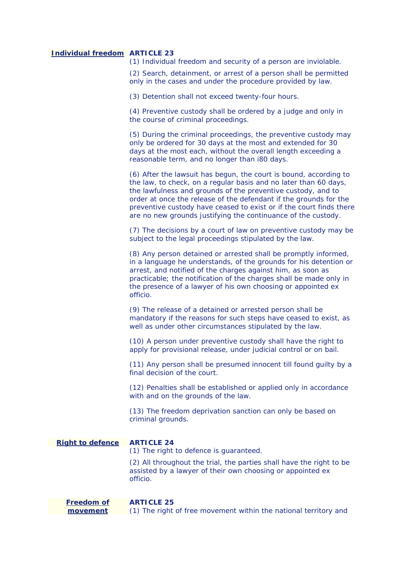## **Individual freedom ARTICLE 23**

(1) Individual freedom and security of a person are inviolable.

(2) Search, detainment, or arrest of a person shall be permitted only in the cases and under the procedure provided by law.

(3) Detention shall not exceed twenty-four hours.

(4) Preventive custody shall be ordered by a judge and only in the course of criminal proceedings.

(5) During the criminal proceedings, the preventive custody may only be ordered for 30 days at the most and extended for 30 days at the most each, without the overall length exceeding a reasonable term, and no longer than i80 days.

(6) After the lawsuit has begun, the court is bound, according to the law, to check, on a regular basis and no later than 60 days, the lawfulness and grounds of the preventive custody, and to order at once the release of the defendant if the grounds for the preventive custody have ceased to exist or if the court finds there are no new grounds justifying the continuance of the custody.

(7) The decisions by a court of law on preventive custody may be subject to the legal proceedings stipulated by the law.

(8) Any person detained or arrested shall be promptly informed, in a language he understands, of the grounds for his detention or arrest, and notified of the charges against him, as soon as practicable; the notification of the charges shall be made only in the presence of a lawyer of his own choosing or appointed ex officio.

(9) The release of a detained or arrested person shall be mandatory if the reasons for such steps have ceased to exist, as well as under other circumstances stipulated by the law.

(10) A person under preventive custody shall have the right to apply for provisional release, under judicial control or on bail.

(11) Any person shall be presumed innocent till found guilty by a final decision of the court.

with and on the grounds of the law. (12) Penalties shall be established or applied only in accordance

 criminal grounds. (13) The freedom deprivation sanction can only be based on

**Right to defence ARTICLE 24**  (1) The right to defence is guaranteed. (2) All throughout the trial, the parties shall have the right to be

assisted by a lawyer of their own choosing or appointed ex officio.

**Freedom of movement ARTICLE 25**  (1) The right of free movement within the national territory and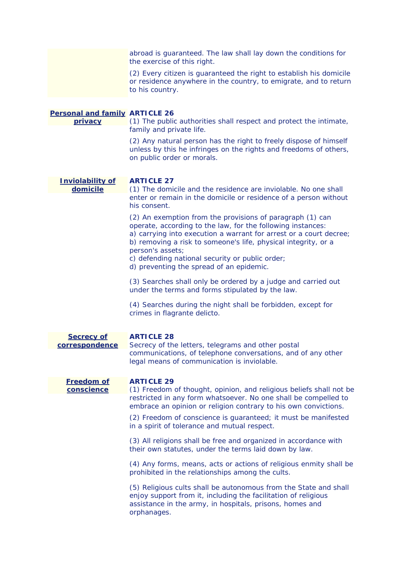|                                                  | abroad is guaranteed. The law shall lay down the conditions for<br>the exercise of this right.                                                                                                                                                                                       |
|--------------------------------------------------|--------------------------------------------------------------------------------------------------------------------------------------------------------------------------------------------------------------------------------------------------------------------------------------|
|                                                  | (2) Every citizen is guaranteed the right to establish his domicile<br>or residence anywhere in the country, to emigrate, and to return<br>to his country.                                                                                                                           |
| <b>Personal and family ARTICLE 26</b><br>privacy | (1) The public authorities shall respect and protect the intimate,<br>family and private life.<br>(2) Any natural person has the right to freely dispose of himself<br>unless by this he infringes on the rights and freedoms of others,<br>on public order or morals.               |
| <b>Inviolability of</b><br>domicile              | <b>ARTICLE 27</b><br>(1) The domicile and the residence are inviolable. No one shall<br>enter or remain in the domicile or residence of a person without<br>his consent.                                                                                                             |
|                                                  | (2) An exemption from the provisions of paragraph (1) can<br>operate, according to the law, for the following instances:<br>a) carrying into execution a warrant for arrest or a court decree;<br>b) removing a risk to someone's life, physical integrity, or a<br>person's assets; |
|                                                  | c) defending national security or public order;<br>d) preventing the spread of an epidemic.                                                                                                                                                                                          |
|                                                  | (3) Searches shall only be ordered by a judge and carried out<br>under the terms and forms stipulated by the law.                                                                                                                                                                    |
|                                                  | (4) Searches during the night shall be forbidden, except for<br>crimes in flagrante delicto.                                                                                                                                                                                         |
| <b>Secrecy of</b><br>correspondence              | <b>ARTICLE 28</b><br>Secrecy of the letters, telegrams and other postal                                                                                                                                                                                                              |
|                                                  | communications, of telephone conversations, and of any other<br>legal means of communication is inviolable.                                                                                                                                                                          |
| <b>Freedom of</b>                                | <b>ARTICLE 29</b>                                                                                                                                                                                                                                                                    |
| conscience                                       | (1) Freedom of thought, opinion, and religious beliefs shall not be<br>restricted in any form whatsoever. No one shall be compelled to<br>embrace an opinion or religion contrary to his own convictions.                                                                            |
|                                                  | (2) Freedom of conscience is guaranteed; it must be manifested<br>in a spirit of tolerance and mutual respect.                                                                                                                                                                       |
|                                                  | (3) All religions shall be free and organized in accordance with<br>their own statutes, under the terms laid down by law.                                                                                                                                                            |
|                                                  | (4) Any forms, means, acts or actions of religious enmity shall be<br>prohibited in the relationships among the cults.                                                                                                                                                               |
|                                                  | (5) Religious cults shall be autonomous from the State and shall<br>enjoy support from it, including the facilitation of religious<br>assistance in the army, in hospitals, prisons, homes and<br>orphanages.                                                                        |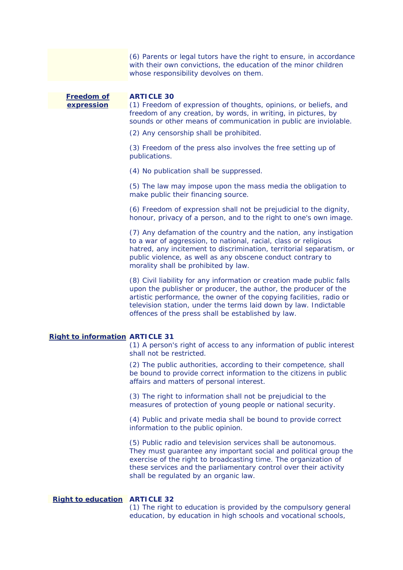(6) Parents or legal tutors have the right to ensure, in accordance with their own convictions, the education of the minor children whose responsibility devolves on them.

 freedom of any creation, by words, in writing, in pictures, by **Freedom of ARTICLE 30 expression** (1) Freedom of expression of thoughts, opinions, or beliefs, and sounds or other means of communication in public are inviolable.

(2) Any censorship shall be prohibited.

publications. (3) Freedom of the press also involves the free setting up of

(4) No publication shall be suppressed.

(5) The law may impose upon the mass media the obligation to make public their financing source.

(6) Freedom of expression shall not be prejudicial to the dignity, honour, privacy of a person, and to the right to one's own image.

morality shall be prohibited by law. (7) Any defamation of the country and the nation, any instigation to a war of aggression, to national, racial, class or religious hatred, any incitement to discrimination, territorial separatism, or public violence, as well as any obscene conduct contrary to

(8) Civil liability for any information or creation made public falls upon the publisher or producer, the author, the producer of the artistic performance, the owner of the copying facilities, radio or television station, under the terms laid down by law. Indictable offences of the press shall be established by law.

# **Right to information ARTICLE 31**

(1) A person's right of access to any information of public interest shall not be restricted.

(2) The public authorities, according to their competence, shall be bound to provide correct information to the citizens in public affairs and matters of personal interest.

(3) The right to information shall not be prejudicial to the measures of protection of young people or national security.

information to the public opinion. (4) Public and private media shall be bound to provide correct

(5) Public radio and television services shall be autonomous. They must guarantee any important social and political group the exercise of the right to broadcasting time. The organization of these services and the parliamentary control over their activity shall be regulated by an organic law.

# **Right to education ARTICLE 32**

(1) The right to education is provided by the compulsory general education, by education in high schools and vocational schools,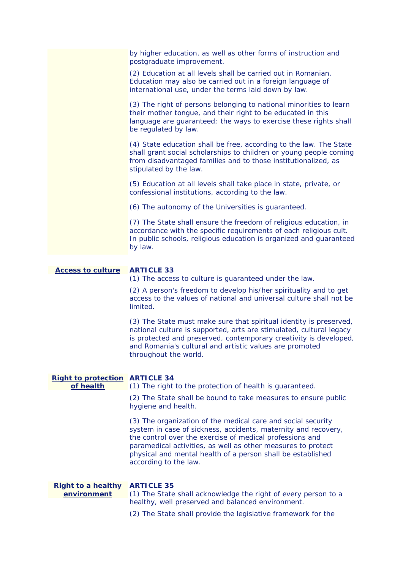| by higher education, as well as other forms of instruction and<br>postgraduate improvement.                                                                                                                                          |
|--------------------------------------------------------------------------------------------------------------------------------------------------------------------------------------------------------------------------------------|
| (2) Education at all levels shall be carried out in Romanian.<br>Education may also be carried out in a foreign language of<br>international use, under the terms laid down by law.                                                  |
| (3) The right of persons belonging to national minorities to learn<br>their mother tongue, and their right to be educated in this<br>language are guaranteed; the ways to exercise these rights shall<br>be regulated by law.        |
| (4) State education shall be free, according to the law. The State<br>shall grant social scholarships to children or young people coming<br>from disadvantaged families and to those institutionalized, as<br>stipulated by the law. |
| (5) Education at all levels shall take place in state, private, or<br>confessional institutions, according to the law.                                                                                                               |
| (6) The autonomy of the Universities is guaranteed.                                                                                                                                                                                  |
| (7) The State shall ensure the freedom of religious education, in<br>accordance with the specific requirements of each religious cult.<br>In public schools, religious education is organized and guaranteed<br>by law.              |

## **Access to culture ARTICLE 33**

(1) The access to culture is guaranteed under the law.

limited (2) A person's freedom to develop his/her spirituality and to get access to the values of national and universal culture shall not be

(3) The State must make sure that spiritual identity is preserved, national culture is supported, arts are stimulated, cultural legacy is protected and preserved, contemporary creativity is developed, and Romania's cultural and artistic values are promoted throughout the world.

## **Right to protection ARTICLE 34**

**of health** 

(1) The right to the protection of health is guaranteed.

(2) The State shall be bound to take measures to ensure public hygiene and health.

 according to the law. (3) The organization of the medical care and social security system in case of sickness, accidents, maternity and recovery, the control over the exercise of medical professions and paramedical activities, as well as other measures to protect physical and mental health of a person shall be established

| Right to a healthy ARTICLE 35 |                                                                |
|-------------------------------|----------------------------------------------------------------|
| environment                   | (1) The State shall acknowledge the right of every person to a |
|                               | healthy, well preserved and balanced environment.              |

(2) The State shall provide the legislative framework for the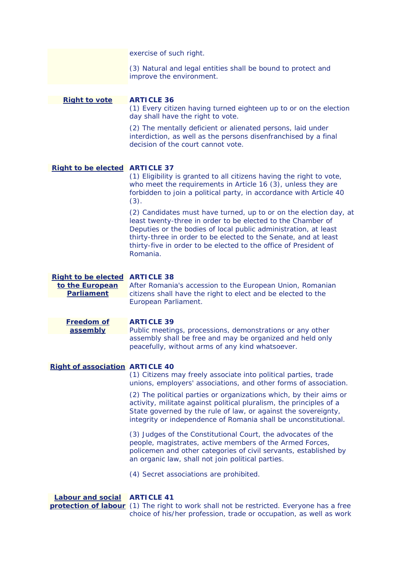exercise of such right.

(3) Natural and legal entities shall be bound to protect and improve the environment.

# **Right to vote ARTICLE 36**

(1) Every citizen having turned eighteen up to or on the election day shall have the right to vote.

(2) The mentally deficient or alienated persons, laid under interdiction, as well as the persons disenfranchised by a final decision of the court cannot vote.

# **Right to be elected ARTICLE 37**

 (1) Eligibility is granted to all citizens having the right to vote, who meet the requirements in Article 16 (3), unless they are forbidden to join a political party, in accordance with Article 40 (3).

(2) Candidates must have turned, up to or on the election day, at least twenty-three in order to be elected to the Chamber of Deputies or the bodies of local public administration, at least thirty-three in order to be elected to the Senate, and at least thirty-five in order to be elected to the office of President of Romania.

**Right to be elected ARTICLE 38 to the European** After Romania's accession to the European Union, Romanian **Parliament citizens shall have the right to elect and be elected to the** European Parliament.

**Freedom of ARTICLE 39** 

**assembly** Public meetings, processions, demonstrations or any other assembly shall be free and may be organized and held only peacefully, without arms of any kind whatsoever.

#### **Right of association ARTICLE 40**

(1) Citizens may freely associate into political parties, trade unions, employers' associations, and other forms of association.

integrity or independence of Romania shall be unconstitutional. (2) The political parties or organizations which, by their aims or activity, militate against political pluralism, the principles of a State governed by the rule of law, or against the sovereignty,

 an organic law, shall not join political parties. (4) Secret associations are prohibited. (3) Judges of the Constitutional Court, the advocates of the people, magistrates, active members of the Armed Forces, policemen and other categories of civil servants, established by

**protection of labour** (1) The right to work shall not be restricted. Everyone has a free choice of his/her profession, trade or occupation, as well as work

## **Labour and social ARTICLE 41**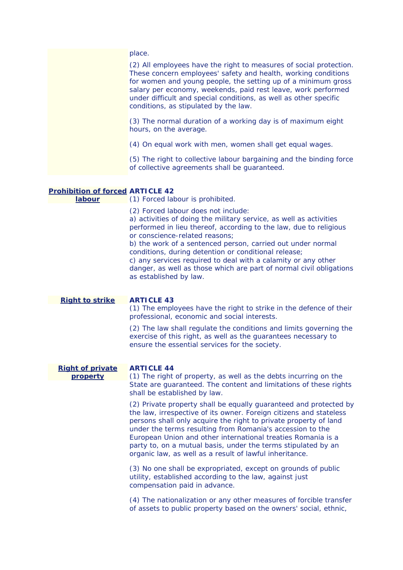|                                                          | (2) All employees have the right to measures of social protection.<br>These concern employees' safety and health, working conditions<br>for women and young people, the setting up of a minimum gross<br>salary per economy, weekends, paid rest leave, work performed<br>under difficult and special conditions, as well as other specific<br>conditions, as stipulated by the law.                     |
|----------------------------------------------------------|----------------------------------------------------------------------------------------------------------------------------------------------------------------------------------------------------------------------------------------------------------------------------------------------------------------------------------------------------------------------------------------------------------|
|                                                          | (3) The normal duration of a working day is of maximum eight<br>hours, on the average.                                                                                                                                                                                                                                                                                                                   |
|                                                          | (4) On equal work with men, women shall get equal wages.                                                                                                                                                                                                                                                                                                                                                 |
|                                                          | (5) The right to collective labour bargaining and the binding force<br>of collective agreements shall be guaranteed.                                                                                                                                                                                                                                                                                     |
|                                                          |                                                                                                                                                                                                                                                                                                                                                                                                          |
| <b>Prohibition of forced ARTICLE 42</b><br><u>labour</u> | (1) Forced labour is prohibited.                                                                                                                                                                                                                                                                                                                                                                         |
|                                                          | (2) Forced labour does not include:<br>a) activities of doing the military service, as well as activities<br>performed in lieu thereof, according to the law, due to religious<br>or conscience-related reasons;<br>b) the work of a sentenced person, carried out under normal<br>conditions, during detention or conditional release;<br>c) any services required to deal with a calamity or any other |

c) any services required to deal with a calamity or any other danger, as well as those which are part of normal civil obligations as established by law.

**Right to strike** 

## **ARTICLE 43**

(1) The employees have the right to strike in the defence of their professional, economic and social interests.

(2) The law shall regulate the conditions and limits governing the exercise of this right, as well as the guarantees necessary to ensure the essential services for the society.

#### **Right of private ARTICLE 44**

 shall be established by law. **property**  (1) The right of property, as well as the debts incurring on the State are guaranteed. The content and limitations of these rights

> (2) Private property shall be equally guaranteed and protected by the law, irrespective of its owner. Foreign citizens and stateless persons shall only acquire the right to private property of land under the terms resulting from Romania's accession to the European Union and other international treaties Romania is a party to, on a mutual basis, under the terms stipulated by an organic law, as well as a result of lawful inheritance.

(3) No one shall be expropriated, except on grounds of public utility, established according to the law, against just compensation paid in advance.

(4) The nationalization or any other measures of forcible transfer of assets to public property based on the owners' social, ethnic,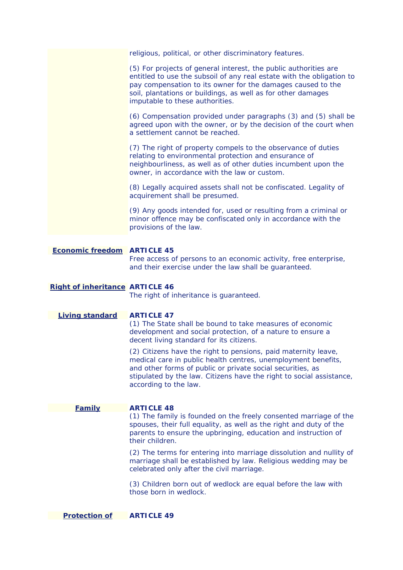religious, political, or other discriminatory features. provisions of the law.  $(5)$  For projects of general interest, the public authorities are entitled to use the subsoil of any real estate with the obligation to pay compensation to its owner for the damages caused to the soil, plantations or buildings, as well as for other damages imputable to these authorities. (6) Compensation provided under paragraphs (3) and (5) shall be agreed upon with the owner, or by the decision of the court when a settlement cannot be reached. (7) The right of property compels to the observance of duties relating to environmental protection and ensurance of neighbourliness, as well as of other duties incumbent upon the owner, in accordance with the law or custom. (8) Legally acquired assets shall not be confiscated. Legality of acquirement shall be presumed. (9) Any goods intended for, used or resulting from a criminal or minor offence may be confiscated only in accordance with the **Economic freedom ARTICLE 45**  Free access of persons to an economic activity, free enterprise, and their exercise under the law shall be guaranteed.

# **Right of inheritance ARTICLE 46**

The right of inheritance is guaranteed.

**Living standard ARTICLE 47** 

(1) The State shall be bound to take measures of economic development and social protection, of a nature to ensure a decent living standard for its citizens.

 according to the law. (2) Citizens have the right to pensions, paid maternity leave, medical care in public health centres, unemployment benefits, and other forms of public or private social securities, as stipulated by the law. Citizens have the right to social assistance,

#### **Family ARTICLE 48**

(1) The family is founded on the freely consented marriage of the spouses, their full equality, as well as the right and duty of the parents to ensure the upbringing, education and instruction of their children.

celebrated only after the civil marriage. (2) The terms for entering into marriage dissolution and nullity of marriage shall be established by law. Religious wedding may be

 celebrated only after the civil marriage. (3) Children born out of wedlock are equal before the law with those born in wedlock.

**Protection of ARTICLE 49**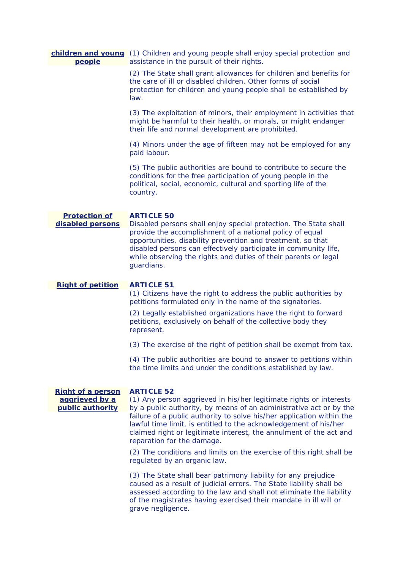| children and young<br>people                                   | (1) Children and young people shall enjoy special protection and<br>assistance in the pursuit of their rights.                                                                                                                                                                                                                                                                                                 |
|----------------------------------------------------------------|----------------------------------------------------------------------------------------------------------------------------------------------------------------------------------------------------------------------------------------------------------------------------------------------------------------------------------------------------------------------------------------------------------------|
|                                                                | (2) The State shall grant allowances for children and benefits for<br>the care of ill or disabled children. Other forms of social<br>protection for children and young people shall be established by<br>law.                                                                                                                                                                                                  |
|                                                                | (3) The exploitation of minors, their employment in activities that<br>might be harmful to their health, or morals, or might endanger<br>their life and normal development are prohibited.                                                                                                                                                                                                                     |
|                                                                | (4) Minors under the age of fifteen may not be employed for any<br>paid labour.                                                                                                                                                                                                                                                                                                                                |
|                                                                | (5) The public authorities are bound to contribute to secure the<br>conditions for the free participation of young people in the<br>political, social, economic, cultural and sporting life of the<br>country.                                                                                                                                                                                                 |
| <b>Protection of</b><br>disabled persons                       | <b>ARTICLE 50</b><br>Disabled persons shall enjoy special protection. The State shall<br>provide the accomplishment of a national policy of equal<br>opportunities, disability prevention and treatment, so that<br>disabled persons can effectively participate in community life,<br>while observing the rights and duties of their parents or legal<br>guardians.                                           |
| <b>Right of petition</b>                                       | <b>ARTICLE 51</b>                                                                                                                                                                                                                                                                                                                                                                                              |
|                                                                | (1) Citizens have the right to address the public authorities by<br>petitions formulated only in the name of the signatories.                                                                                                                                                                                                                                                                                  |
|                                                                | (2) Legally established organizations have the right to forward<br>petitions, exclusively on behalf of the collective body they<br>represent.                                                                                                                                                                                                                                                                  |
|                                                                | (3) The exercise of the right of petition shall be exempt from tax.                                                                                                                                                                                                                                                                                                                                            |
|                                                                | (4) The public authorities are bound to answer to petitions within<br>the time limits and under the conditions established by law.                                                                                                                                                                                                                                                                             |
| <b>Right of a person</b><br>aggrieved by a<br>public authority | <b>ARTICLE 52</b><br>(1) Any person aggrieved in his/her legitimate rights or interests<br>by a public authority, by means of an administrative act or by the<br>failure of a public authority to solve his/her application within the<br>lawful time limit, is entitled to the acknowledgement of his/her<br>claimed right or legitimate interest, the annulment of the act and<br>reparation for the damage. |
|                                                                | (2) The conditions and limits on the exercise of this right shall be<br>regulated by an organic law.                                                                                                                                                                                                                                                                                                           |
|                                                                | (3) The State shall bear patrimony liability for any prejudice<br>caused as a result of judicial errors. The State liability shall be<br>assessed according to the law and shall not eliminate the liability<br>of the magistrates having exercised their mandate in ill will or<br>grave negligence.                                                                                                          |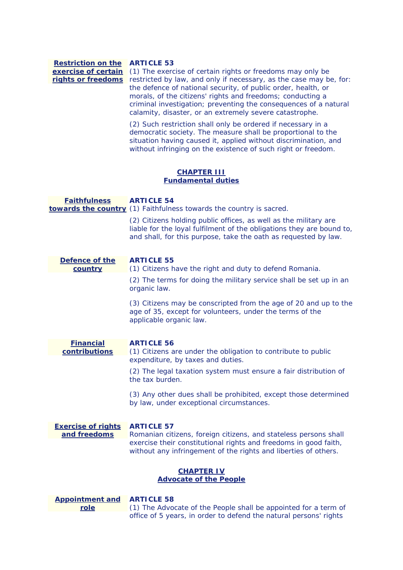applicable organic law. **Restriction on the ARTICLE 53 exercise of certain**  (1) The exercise of certain rights or freedoms may only be **rights or freedoms** restricted by law, and only if necessary, as the case may be, for: **Faithfulness towards the country**  (1) Faithfulness towards the country is sacred. **Defence of the country Financial contributions Exercise of rights ARTICLE 57 and freedoms Appointment and role**  the defence of national security, of public order, health, or morals, of the citizens' rights and freedoms; conducting a criminal investigation; preventing the consequences of a natural calamity, disaster, or an extremely severe catastrophe. (2) Such restriction shall only be ordered if necessary in a democratic society. The measure shall be proportional to the situation having caused it, applied without discrimination, and without infringing on the existence of such right or freedom. **CHAPTER III Fundamental duties ARTICLE 54**  (2) Citizens holding public offices, as well as the military are liable for the loyal fulfilment of the obligations they are bound to, and shall, for this purpose, take the oath as requested by law. **ARTICLE 55**  (1) Citizens have the right and duty to defend Romania. (2) The terms for doing the military service shall be set up in an organic law. (3) Citizens may be conscripted from the age of 20 and up to the age of 35, except for volunteers, under the terms of the **ARTICLE 56**  (1) Citizens are under the obligation to contribute to public expenditure, by taxes and duties. (2) The legal taxation system must ensure a fair distribution of the tax burden. (3) Any other dues shall be prohibited, except those determined by law, under exceptional circumstances. Romanian citizens, foreign citizens, and stateless persons shall exercise their constitutional rights and freedoms in good faith, without any infringement of the rights and liberties of others. **CHAPTER IV Advocate of the People ARTICLE 58**  (1) The Advocate of the People shall be appointed for a term of

office of 5 years, in order to defend the natural persons' rights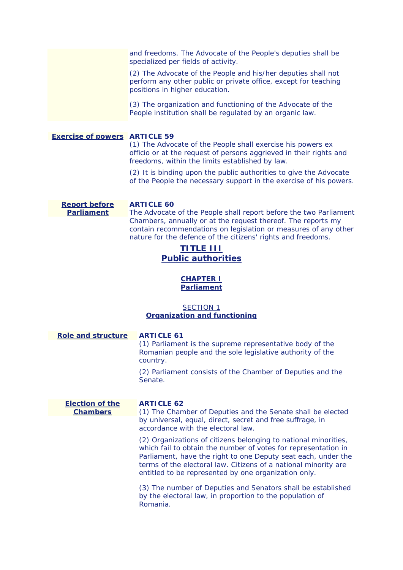and freedoms. The Advocate of the People's deputies shall be specialized per fields of activity.

(2) The Advocate of the People and his/her deputies shall not perform any other public or private office, except for teaching positions in higher education.

 People institution shall be regulated by an organic law. (3) The organization and functioning of the Advocate of the

**Exercise of powers ARTICLE 59** 

(1) The Advocate of the People shall exercise his powers ex officio or at the request of persons aggrieved in their rights and freedoms, within the limits established by law.

(2) It is binding upon the public authorities to give the Advocate of the People the necessary support in the exercise of his powers.

**Report before Parliament**

# **ARTICLE 60**

The Advocate of the People shall report before the two Parliament Chambers, annually or at the request thereof. The reports my contain recommendations on legislation or measures of any other nature for the defence of the citizens' rights and freedoms.

# **TITLE III Public authorities**

# **CHAPTER I Parliament**

# *SECTION 1 Organization and functioning*

#### **Role and structure ARTICLE 61**

(1) Parliament is the supreme representative body of the Romanian people and the sole legislative authority of the country.

(2) Parliament consists of the Chamber of Deputies and the Senate.

**Election of the Chambers**

# **ARTICLE 62**

(1) The Chamber of Deputies and the Senate shall be elected by universal, equal, direct, secret and free suffrage, in accordance with the electoral law.

 which fail to obtain the number of votes for representation in entitled to be represented by one organization only. (2) Organizations of citizens belonging to national minorities, Parliament, have the right to one Deputy seat each, under the terms of the electoral law. Citizens of a national minority are

(3) The number of Deputies and Senators shall be established by the electoral law, in proportion to the population of Romania.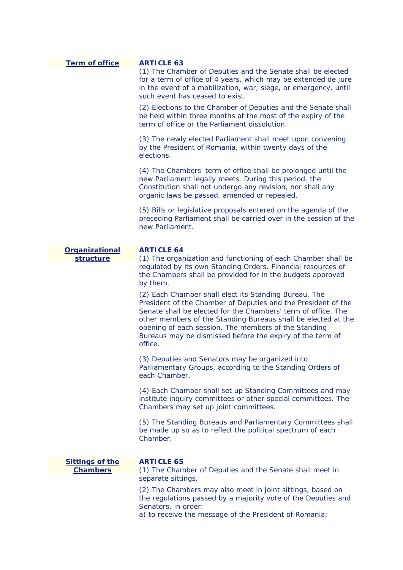| <b>Term of office</b>                     | <b>ARTICLE 63</b>                                                                                                                                                                                                                                                                                                                                                                        |
|-------------------------------------------|------------------------------------------------------------------------------------------------------------------------------------------------------------------------------------------------------------------------------------------------------------------------------------------------------------------------------------------------------------------------------------------|
|                                           | (1) The Chamber of Deputies and the Senate shall be elected<br>for a term of office of 4 years, which may be extended de jure<br>in the event of a mobilization, war, siege, or emergency, until<br>such event has ceased to exist.                                                                                                                                                      |
|                                           | (2) Elections to the Chamber of Deputies and the Senate shall<br>be held within three months at the most of the expiry of the<br>term of office or the Parliament dissolution.                                                                                                                                                                                                           |
|                                           | (3) The newly elected Parliament shall meet upon convening<br>by the President of Romania, within twenty days of the<br>elections.                                                                                                                                                                                                                                                       |
|                                           | (4) The Chambers' term of office shall be prolonged until the<br>new Parliament legally meets. During this period, the<br>Constitution shall not undergo any revision, nor shall any<br>organic laws be passed, amended or repealed.                                                                                                                                                     |
|                                           | (5) Bills or legislative proposals entered on the agenda of the<br>preceding Parliament shall be carried over in the session of the<br>new Parliament.                                                                                                                                                                                                                                   |
| <b>Organizational</b>                     | <b>ARTICLE 64</b>                                                                                                                                                                                                                                                                                                                                                                        |
| structure                                 | (1) The organization and functioning of each Chamber shall be                                                                                                                                                                                                                                                                                                                            |
|                                           | regulated by its own Standing Orders. Financial resources of<br>the Chambers shall be provided for in the budgets approved<br>by them.                                                                                                                                                                                                                                                   |
|                                           | (2) Each Chamber shall elect its Standing Bureau. The<br>President of the Chamber of Deputies and the President of the<br>Senate shall be elected for the Chambers' term of office. The<br>other members of the Standing Bureaus shall be elected at the<br>opening of each session. The members of the Standing<br>Bureaus may be dismissed before the expiry of the term of<br>office. |
|                                           | (3) Deputies and Senators may be organized into<br>Parliamentary Groups, according to the Standing Orders of<br>each Chamber.                                                                                                                                                                                                                                                            |
|                                           | (4) Each Chamber shall set up Standing Committees and may<br>institute inquiry committees or other special committees. The<br>Chambers may set up joint committees.                                                                                                                                                                                                                      |
|                                           | (5) The Standing Bureaus and Parliamentary Committees shall<br>be made up so as to reflect the political spectrum of each<br>Chamber.                                                                                                                                                                                                                                                    |
| <b>Sittings of the</b><br><b>Chambers</b> | <b>ARTICLE 65</b>                                                                                                                                                                                                                                                                                                                                                                        |
|                                           | (1) The Chamber of Deputies and the Senate shall meet in<br>separate sittings.                                                                                                                                                                                                                                                                                                           |
|                                           | (2) The Chambers may also meet in joint sittings, based on<br>the regulations passed by a majority vote of the Deputies and<br>Senators, in order:<br>a) to receive the message of the President of Romania;                                                                                                                                                                             |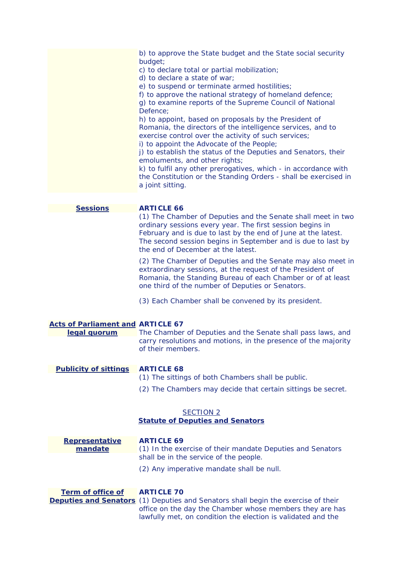c) to declare total or partial mobilization; e) to suspend or terminate armed hostilities; f) to approve the national strategy of homeland defence; b) to approve the State budget and the State social security budget; d) to declare a state of war; g) to examine reports of the Supreme Council of National Defence; h) to appoint, based on proposals by the President of Romania, the directors of the intelligence services, and to exercise control over the activity of such services; i) to appoint the Advocate of the People; j) to establish the status of the Deputies and Senators, their emoluments, and other rights; k) to fulfil any other prerogatives, which - in accordance with the Constitution or the Standing Orders - shall be exercised in a joint sitting.

#### **Sessions**

### **ARTICLE 66**

(1) The Chamber of Deputies and the Senate shall meet in two ordinary sessions every year. The first session begins in February and is due to last by the end of June at the latest. The second session begins in September and is due to last by the end of December at the latest.

(2) The Chamber of Deputies and the Senate may also meet in extraordinary sessions, at the request of the President of Romania, the Standing Bureau of each Chamber or of at least one third of the number of Deputies or Senators.

(3) Each Chamber shall be convened by its president.

#### **Acts of Parliament and ARTICLE 67**

**legal quorum**  The Chamber of Deputies and the Senate shall pass laws, and carry resolutions and motions, in the presence of the majority of their members.

#### **Publicity of sittings ARTICLE 68**

- (1) The sittings of both Chambers shall be public.
- (2) The Chambers may decide that certain sittings be secret.

## *SECTION 2*

# *Statute of Deputies and Senators*

| <b>Representative</b><br>mandate | <b>ARTICLE 69</b><br>(1) In the exercise of their mandate Deputies and Senators |
|----------------------------------|---------------------------------------------------------------------------------|
|                                  | shall be in the service of the people.                                          |
|                                  | (2) Any imperative mandate shall be null.                                       |

**Term of office of**

#### **ARTICLE 70**

**Deputies and Senators** (1) Deputies and Senators shall begin the exercise of their office on the day the Chamber whose members they are has lawfully met, on condition the election is validated and the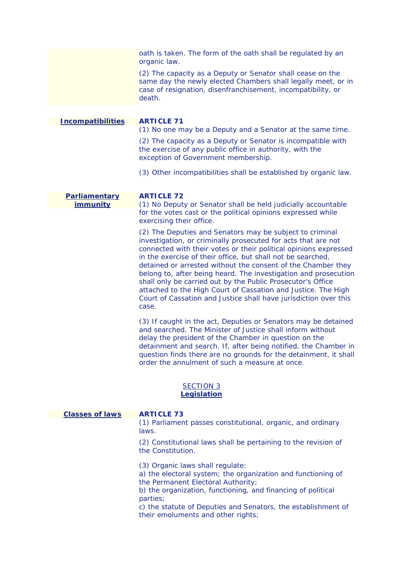|                          | oath is taken. The form of the oath shall be regulated by an<br>organic law.                                                                                                                                                                                                                                                                                                                                                                                                                                                                                                                                 |
|--------------------------|--------------------------------------------------------------------------------------------------------------------------------------------------------------------------------------------------------------------------------------------------------------------------------------------------------------------------------------------------------------------------------------------------------------------------------------------------------------------------------------------------------------------------------------------------------------------------------------------------------------|
|                          | (2) The capacity as a Deputy or Senator shall cease on the<br>same day the newly elected Chambers shall legally meet, or in<br>case of resignation, disenfranchisement, incompatibility, or<br>death.                                                                                                                                                                                                                                                                                                                                                                                                        |
|                          |                                                                                                                                                                                                                                                                                                                                                                                                                                                                                                                                                                                                              |
| <b>Incompatibilities</b> | <b>ARTICLE 71</b><br>(1) No one may be a Deputy and a Senator at the same time.                                                                                                                                                                                                                                                                                                                                                                                                                                                                                                                              |
|                          | (2) The capacity as a Deputy or Senator is incompatible with<br>the exercise of any public office in authority, with the<br>exception of Government membership.                                                                                                                                                                                                                                                                                                                                                                                                                                              |
|                          | (3) Other incompatibilities shall be established by organic law.                                                                                                                                                                                                                                                                                                                                                                                                                                                                                                                                             |
| Parliamentary            | <b>ARTICLE 72</b>                                                                                                                                                                                                                                                                                                                                                                                                                                                                                                                                                                                            |
| immunity                 | (1) No Deputy or Senator shall be held judicially accountable<br>for the votes cast or the political opinions expressed while<br>exercising their office.                                                                                                                                                                                                                                                                                                                                                                                                                                                    |
|                          | (2) The Deputies and Senators may be subject to criminal<br>investigation, or criminally prosecuted for acts that are not<br>connected with their votes or their political opinions expressed<br>in the exercise of their office, but shall not be searched,<br>detained or arrested without the consent of the Chamber they<br>belong to, after being heard. The investigation and prosecution<br>shall only be carried out by the Public Prosecutor's Office<br>attached to the High Court of Cassation and Justice. The High<br>Court of Cassation and Justice shall have jurisdiction over this<br>case. |
|                          | (3) If caught in the act, Deputies or Senators may be detained<br>and searched. The Minister of Justice shall inform without<br>delay the president of the Chamber in question on the<br>detainment and search. If, after being notified, the Chamber in<br>question finds there are no grounds for the detainment, it shall<br>order the annulment of such a measure at once.<br><b>SECTION 3</b>                                                                                                                                                                                                           |
|                          | Legislation                                                                                                                                                                                                                                                                                                                                                                                                                                                                                                                                                                                                  |
| <b>Classes of laws</b>   | <b>ARTICLE 73</b>                                                                                                                                                                                                                                                                                                                                                                                                                                                                                                                                                                                            |
|                          | (1) Parliament passes constitutional, organic, and ordinary<br>laws.                                                                                                                                                                                                                                                                                                                                                                                                                                                                                                                                         |
|                          | (2) Constitutional laws shall be pertaining to the revision of<br>the Constitution.                                                                                                                                                                                                                                                                                                                                                                                                                                                                                                                          |
|                          | (3) Organic laws shall regulate:<br>a) the electoral system; the organization and functioning of<br>the Permanent Electoral Authority;<br>b) the organization, functioning, and financing of political<br>parties;<br>c) the statute of Deputies and Senators, the establishment of<br>their emoluments and other rights;                                                                                                                                                                                                                                                                                    |
|                          |                                                                                                                                                                                                                                                                                                                                                                                                                                                                                                                                                                                                              |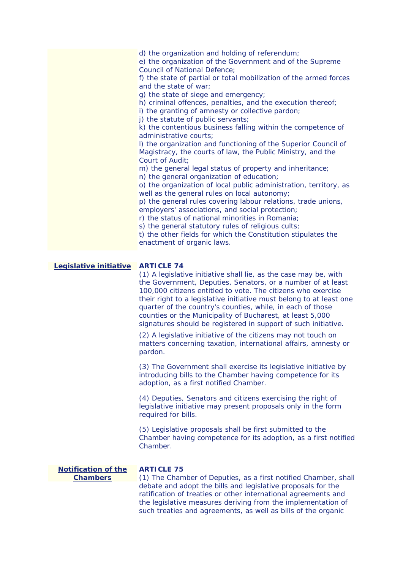|                                               | d) the organization and holding of referendum;<br>e) the organization of the Government and of the Supreme<br><b>Council of National Defence;</b><br>f) the state of partial or total mobilization of the armed forces<br>and the state of war:<br>g) the state of siege and emergency;<br>h) criminal offences, penalties, and the execution thereof;<br>i) the granting of amnesty or collective pardon;<br>j) the statute of public servants;<br>k) the contentious business falling within the competence of<br>administrative courts;<br>I) the organization and functioning of the Superior Council of<br>Magistracy, the courts of law, the Public Ministry, and the<br>Court of Audit;<br>m) the general legal status of property and inheritance;<br>n) the general organization of education;<br>o) the organization of local public administration, territory, as<br>well as the general rules on local autonomy;<br>p) the general rules covering labour relations, trade unions,<br>employers' associations, and social protection;<br>r) the status of national minorities in Romania;<br>s) the general statutory rules of religious cults;<br>t) the other fields for which the Constitution stipulates the<br>enactment of organic laws. |
|-----------------------------------------------|-----------------------------------------------------------------------------------------------------------------------------------------------------------------------------------------------------------------------------------------------------------------------------------------------------------------------------------------------------------------------------------------------------------------------------------------------------------------------------------------------------------------------------------------------------------------------------------------------------------------------------------------------------------------------------------------------------------------------------------------------------------------------------------------------------------------------------------------------------------------------------------------------------------------------------------------------------------------------------------------------------------------------------------------------------------------------------------------------------------------------------------------------------------------------------------------------------------------------------------------------------------|
| Legislative initiative                        | <b>ARTICLE 74</b><br>(1) A legislative initiative shall lie, as the case may be, with<br>the Government, Deputies, Senators, or a number of at least<br>100,000 citizens entitled to vote. The citizens who exercise<br>their right to a legislative initiative must belong to at least one<br>quarter of the country's counties, while, in each of those<br>counties or the Municipality of Bucharest, at least 5,000<br>signatures should be registered in support of such initiative.<br>(2) A legislative initiative of the citizens may not touch on<br>matters concerning taxation, international affairs, amnesty or<br>pardon.<br>(3) The Government shall exercise its legislative initiative by<br>introducing bills to the Chamber having competence for its<br>adoption, as a first notified Chamber.<br>(4) Deputies, Senators and citizens exercising the right of<br>legislative initiative may present proposals only in the form<br>required for bills.<br>(5) Legislative proposals shall be first submitted to the<br>Chamber having competence for its adoption, as a first notified<br>Chamber.                                                                                                                                      |
| <b>Notification of the</b><br><b>Chambers</b> | <b>ARTICLE 75</b><br>(1) The Chamber of Deputies, as a first notified Chamber, shall                                                                                                                                                                                                                                                                                                                                                                                                                                                                                                                                                                                                                                                                                                                                                                                                                                                                                                                                                                                                                                                                                                                                                                      |
|                                               | debate and adopt the bills and legislative proposals for the<br>ratification of treaties or other international agreements and<br>the legislative measures deriving from the implementation of<br>such treaties and agreements, as well as bills of the organic                                                                                                                                                                                                                                                                                                                                                                                                                                                                                                                                                                                                                                                                                                                                                                                                                                                                                                                                                                                           |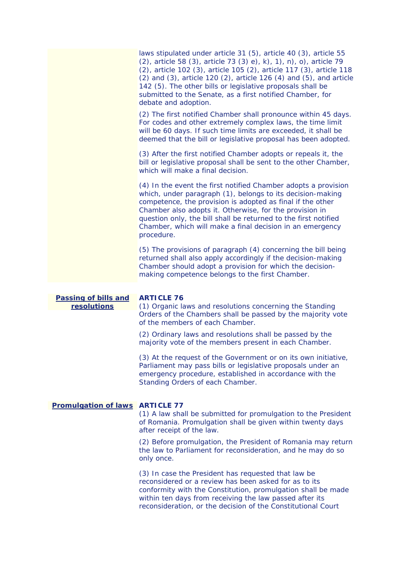|                                            | laws stipulated under article 31 (5), article 40 (3), article 55<br>(2), article 58 (3), article 73 (3) e), k), 1), n), o), article 79<br>(2), article 102 (3), article 105 (2), article 117 (3), article 118<br>$(2)$ and $(3)$ , article 120 $(2)$ , article 126 $(4)$ and $(5)$ , and article<br>142 (5). The other bills or legislative proposals shall be<br>submitted to the Senate, as a first notified Chamber, for<br>debate and adoption. |
|--------------------------------------------|-----------------------------------------------------------------------------------------------------------------------------------------------------------------------------------------------------------------------------------------------------------------------------------------------------------------------------------------------------------------------------------------------------------------------------------------------------|
|                                            | (2) The first notified Chamber shall pronounce within 45 days.<br>For codes and other extremely complex laws, the time limit<br>will be 60 days. If such time limits are exceeded, it shall be<br>deemed that the bill or legislative proposal has been adopted.                                                                                                                                                                                    |
|                                            | (3) After the first notified Chamber adopts or repeals it, the<br>bill or legislative proposal shall be sent to the other Chamber,<br>which will make a final decision.                                                                                                                                                                                                                                                                             |
|                                            | (4) In the event the first notified Chamber adopts a provision<br>which, under paragraph (1), belongs to its decision-making<br>competence, the provision is adopted as final if the other<br>Chamber also adopts it. Otherwise, for the provision in<br>question only, the bill shall be returned to the first notified<br>Chamber, which will make a final decision in an emergency<br>procedure.                                                 |
|                                            | (5) The provisions of paragraph (4) concerning the bill being<br>returned shall also apply accordingly if the decision-making<br>Chamber should adopt a provision for which the decision-<br>making competence belongs to the first Chamber.                                                                                                                                                                                                        |
|                                            |                                                                                                                                                                                                                                                                                                                                                                                                                                                     |
| <b>Passing of bills and</b><br>resolutions | <b>ARTICLE 76</b><br>(1) Organic laws and resolutions concerning the Standing<br>Orders of the Chambers shall be passed by the majority vote<br>of the members of each Chamber.                                                                                                                                                                                                                                                                     |
|                                            | (2) Ordinary laws and resolutions shall be passed by the<br>majority vote of the members present in each Chamber.                                                                                                                                                                                                                                                                                                                                   |
|                                            | (3) At the request of the Government or on its own initiative,<br>Parliament may pass bills or legislative proposals under an<br>emergency procedure, established in accordance with the<br>Standing Orders of each Chamber.                                                                                                                                                                                                                        |
| <b>Promulgation of laws ARTICLE 77</b>     | (1) A law shall be submitted for promulgation to the President<br>of Romania. Promulgation shall be given within twenty days<br>after receipt of the law.                                                                                                                                                                                                                                                                                           |
|                                            | (2) Before promulgation, the President of Romania may return<br>the law to Parliament for reconsideration, and he may do so                                                                                                                                                                                                                                                                                                                         |

only once. (3) In case the President has requested that law be reconsidered or a review has been asked for as to its

conformity with the Constitution, promulgation shall be made within ten days from receiving the law passed after its reconsideration, or the decision of the Constitutional Court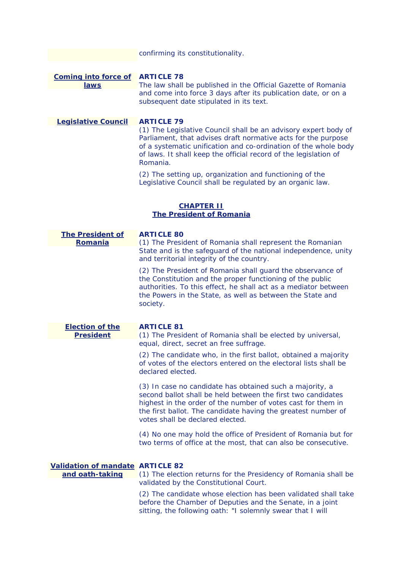confirming its constitutionality.

# **Coming into force of ARTICLE 78 laws**

The law shall be published in the Official Gazette of Romania and come into force 3 days after its publication date, or on a subsequent date stipulated in its text.

**Legislative Council** 

## **ARTICLE 79**

(1) The Legislative Council shall be an advisory expert body of Parliament, that advises draft normative acts for the purpose of a systematic unification and co-ordination of the whole body of laws. It shall keep the official record of the legislation of Romania.

(2) The setting up, organization and functioning of the Legislative Council shall be regulated by an organic law.

# **CHAPTER II The President of Romania**

| <b>The President of</b><br>Romania      | <b>ARTICLE 80</b><br>(1) The President of Romania shall represent the Romanian                                                                                                                                                                                                                |
|-----------------------------------------|-----------------------------------------------------------------------------------------------------------------------------------------------------------------------------------------------------------------------------------------------------------------------------------------------|
|                                         | State and is the safeguard of the national independence, unity<br>and territorial integrity of the country.                                                                                                                                                                                   |
|                                         | (2) The President of Romania shall guard the observance of<br>the Constitution and the proper functioning of the public<br>authorities. To this effect, he shall act as a mediator between<br>the Powers in the State, as well as between the State and<br>society.                           |
| <b>Election of the</b>                  | <b>ARTICLE 81</b>                                                                                                                                                                                                                                                                             |
| <b>President</b>                        | (1) The President of Romania shall be elected by universal,<br>equal, direct, secret an free suffrage.                                                                                                                                                                                        |
|                                         | (2) The candidate who, in the first ballot, obtained a majority<br>of votes of the electors entered on the electoral lists shall be<br>declared elected.                                                                                                                                      |
|                                         | (3) In case no candidate has obtained such a majority, a<br>second ballot shall be held between the first two candidates<br>highest in the order of the number of votes cast for them in<br>the first ballot. The candidate having the greatest number of<br>votes shall be declared elected. |
|                                         | (4) No one may hold the office of President of Romania but for<br>two terms of office at the most, that can also be consecutive.                                                                                                                                                              |
| <b>Validation of mandate ARTICLE 82</b> |                                                                                                                                                                                                                                                                                               |
| and oath-taking                         | (1) The election returns for the Presidency of Romania shall be<br>validated by the Constitutional Court.                                                                                                                                                                                     |
|                                         | (2) The candidate whose election has been validated shall take<br>before the Chamber of Deputies and the Senate, in a joint<br>sitting, the following oath: "I solemnly swear that I will                                                                                                     |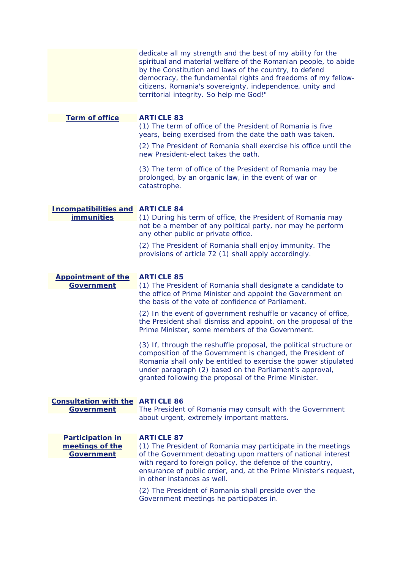|                                                   | dedicate all my strength and the best of my ability for the<br>spiritual and material welfare of the Romanian people, to abide<br>by the Constitution and laws of the country, to defend<br>democracy, the fundamental rights and freedoms of my fellow-<br>citizens, Romania's sovereignty, independence, unity and<br>territorial integrity. So help me God!" |
|---------------------------------------------------|-----------------------------------------------------------------------------------------------------------------------------------------------------------------------------------------------------------------------------------------------------------------------------------------------------------------------------------------------------------------|
|                                                   |                                                                                                                                                                                                                                                                                                                                                                 |
| <b>Term of office</b>                             | <b>ARTICLE 83</b><br>(1) The term of office of the President of Romania is five<br>years, being exercised from the date the oath was taken.                                                                                                                                                                                                                     |
|                                                   | (2) The President of Romania shall exercise his office until the<br>new President-elect takes the oath.                                                                                                                                                                                                                                                         |
|                                                   | (3) The term of office of the President of Romania may be<br>prolonged, by an organic law, in the event of war or<br>catastrophe.                                                                                                                                                                                                                               |
|                                                   |                                                                                                                                                                                                                                                                                                                                                                 |
| <b>Incompatibilities and</b><br><i>immunities</i> | <b>ARTICLE 84</b><br>(1) During his term of office, the President of Romania may<br>not be a member of any political party, nor may he perform                                                                                                                                                                                                                  |
|                                                   | any other public or private office.                                                                                                                                                                                                                                                                                                                             |
|                                                   | (2) The President of Romania shall enjoy immunity. The<br>provisions of article 72 (1) shall apply accordingly.                                                                                                                                                                                                                                                 |
|                                                   |                                                                                                                                                                                                                                                                                                                                                                 |
| <b>Appointment of the</b><br>Government           | <b>ARTICLE 85</b><br>(1) The President of Romania shall designate a candidate to<br>the office of Prime Minister and appoint the Government on<br>the basis of the vote of confidence of Parliament.                                                                                                                                                            |
|                                                   | (2) In the event of government reshuffle or vacancy of office,<br>the President shall dismiss and appoint, on the proposal of the<br>Prime Minister, some members of the Government.                                                                                                                                                                            |
|                                                   | (3) If, through the reshuffle proposal, the political structure or<br>composition of the Government is changed, the President of<br>Romania shall only be entitled to exercise the power stipulated<br>under paragraph (2) based on the Parliament's approval,<br>granted following the proposal of the Prime Minister.                                         |
| <b>Consultation with the ARTICLE 86</b>           |                                                                                                                                                                                                                                                                                                                                                                 |
| <b>Government</b>                                 | The President of Romania may consult with the Government                                                                                                                                                                                                                                                                                                        |
|                                                   | about urgent, extremely important matters.                                                                                                                                                                                                                                                                                                                      |
| <b>Participation in</b><br>meetings of the        | <b>ARTICLE 87</b><br>(1) The President of Romania may participate in the meetings                                                                                                                                                                                                                                                                               |
| <b>Government</b>                                 | of the Government debating upon matters of national interest                                                                                                                                                                                                                                                                                                    |
|                                                   | with regard to foreign policy, the defence of the country,<br>ensurance of public order, and, at the Prime Minister's request,<br>in other instances as well.                                                                                                                                                                                                   |
|                                                   | (2) The President of Romania shall preside over the<br>Government meetings he participates in.                                                                                                                                                                                                                                                                  |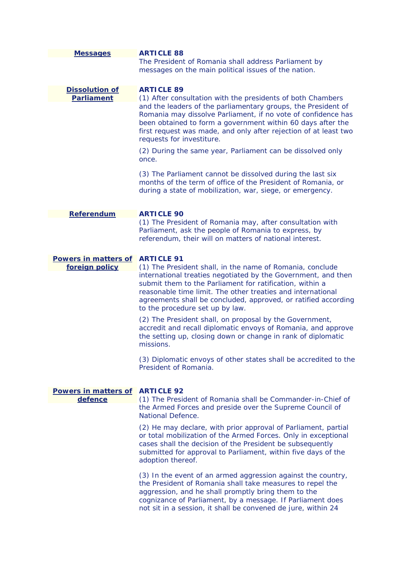| <b>Messages</b>                            | <b>ARTICLE 88</b><br>The President of Romania shall address Parliament by<br>messages on the main political issues of the nation.                                                                                                                                                                                                                          |
|--------------------------------------------|------------------------------------------------------------------------------------------------------------------------------------------------------------------------------------------------------------------------------------------------------------------------------------------------------------------------------------------------------------|
| <b>Dissolution of</b><br><b>Parliament</b> | <b>ARTICLE 89</b><br>(1) After consultation with the presidents of both Chambers<br>and the leaders of the parliamentary groups, the President of                                                                                                                                                                                                          |
|                                            | Romania may dissolve Parliament, if no vote of confidence has<br>been obtained to form a government within 60 days after the<br>first request was made, and only after rejection of at least two<br>requests for investiture.                                                                                                                              |
|                                            | (2) During the same year, Parliament can be dissolved only<br>once.                                                                                                                                                                                                                                                                                        |
|                                            | (3) The Parliament cannot be dissolved during the last six<br>months of the term of office of the President of Romania, or<br>during a state of mobilization, war, siege, or emergency.                                                                                                                                                                    |
| Referendum                                 | <b>ARTICLE 90</b>                                                                                                                                                                                                                                                                                                                                          |
|                                            | (1) The President of Romania may, after consultation with<br>Parliament, ask the people of Romania to express, by<br>referendum, their will on matters of national interest.                                                                                                                                                                               |
| <b>Powers in matters of</b>                | <b>ARTICLE 91</b>                                                                                                                                                                                                                                                                                                                                          |
| foreign policy                             | (1) The President shall, in the name of Romania, conclude<br>international treaties negotiated by the Government, and then<br>submit them to the Parliament for ratification, within a<br>reasonable time limit. The other treaties and international<br>agreements shall be concluded, approved, or ratified according<br>to the procedure set up by law. |
|                                            | (2) The President shall, on proposal by the Government,<br>accredit and recall diplomatic envoys of Romania, and approve<br>the setting up, closing down or change in rank of diplomatic<br>missions.                                                                                                                                                      |
|                                            | (3) Diplomatic envoys of other states shall be accredited to the<br>President of Romania.                                                                                                                                                                                                                                                                  |
| <b>Powers in matters of</b>                | <b>ARTICLE 92</b>                                                                                                                                                                                                                                                                                                                                          |
| defence                                    | (1) The President of Romania shall be Commander-in-Chief of<br>the Armed Forces and preside over the Supreme Council of<br><b>National Defence.</b>                                                                                                                                                                                                        |
|                                            | (2) He may declare, with prior approval of Parliament, partial<br>or total mobilization of the Armed Forces. Only in exceptional<br>cases shall the decision of the President be subsequently<br>submitted for approval to Parliament, within five days of the<br>adoption thereof.                                                                        |
|                                            | (3) In the event of an armed aggression against the country,<br>the President of Romania shall take measures to repel the<br>aggression, and he shall promptly bring them to the<br>cognizance of Parliament, by a message. If Parliament does<br>not sit in a session, it shall be convened de jure, within 24                                            |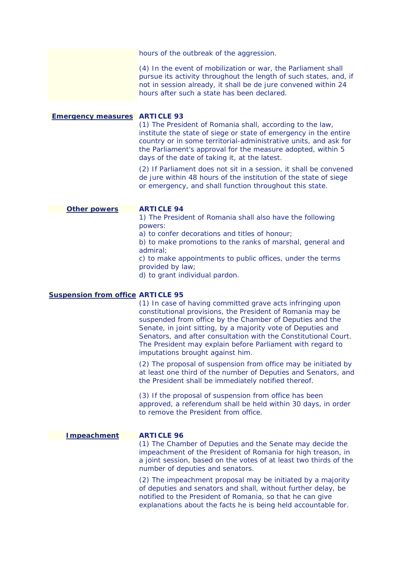hours of the outbreak of the aggression.

(4) In the event of mobilization or war, the Parliament shall pursue its activity throughout the length of such states, and, if not in session already, it shall be de jure convened within 24 hours after such a state has been declared.

# **Emergency measures ARTICLE 93**

(1) The President of Romania shall, according to the law, institute the state of siege or state of emergency in the entire country or in some territorial-administrative units, and ask for the Parliament's approval for the measure adopted, within 5 days of the date of taking it, at the latest.

(2) If Parliament does not sit in a session, it shall be convened de jure within 48 hours of the institution of the state of siege or emergency, and shall function throughout this state.

### **Other powers ARTICLE 94**

1) The President of Romania shall also have the following powers:

a) to confer decorations and titles of honour;

b) to make promotions to the ranks of marshal, general and admiral;

c) to make appointments to public offices, under the terms provided by law;

d) to grant individual pardon.

# **Suspension from office ARTICLE 95**

 Senators, and after consultation with the Constitutional Court. (1) In case of having committed grave acts infringing upon constitutional provisions, the President of Romania may be suspended from office by the Chamber of Deputies and the Senate, in joint sitting, by a majority vote of Deputies and The President may explain before Parliament with regard to imputations brought against him.

(2) The proposal of suspension from office may be initiated by at least one third of the number of Deputies and Senators, and the President shall be immediately notified thereof.

(3) If the proposal of suspension from office has been approved, a referendum shall be held within 30 days, in order to remove the President from office.

# **Impeachment ARTICLE 96**

(1) The Chamber of Deputies and the Senate may decide the impeachment of the President of Romania for high treason, in a joint session, based on the votes of at least two thirds of the number of deputies and senators.

 explanations about the facts he is being held accountable for. (2) The impeachment proposal may be initiated by a majority of deputies and senators and shall, without further delay, be notified to the President of Romania, so that he can give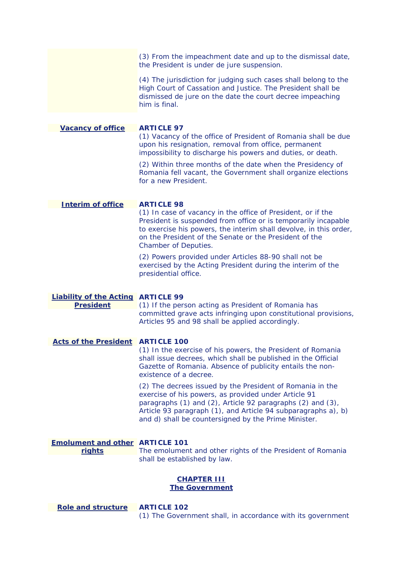|                                                               | (3) From the impeachment date and up to the dismissal date,<br>the President is under de jure suspension.                                                                                                                                                                                                  |
|---------------------------------------------------------------|------------------------------------------------------------------------------------------------------------------------------------------------------------------------------------------------------------------------------------------------------------------------------------------------------------|
|                                                               | (4) The jurisdiction for judging such cases shall belong to the<br>High Court of Cassation and Justice. The President shall be<br>dismissed de jure on the date the court decree impeaching<br>him is final.                                                                                               |
|                                                               |                                                                                                                                                                                                                                                                                                            |
| <b>Vacancy of office</b>                                      | <b>ARTICLE 97</b><br>(1) Vacancy of the office of President of Romania shall be due<br>upon his resignation, removal from office, permanent<br>impossibility to discharge his powers and duties, or death.                                                                                                 |
|                                                               | (2) Within three months of the date when the Presidency of<br>Romania fell vacant, the Government shall organize elections<br>for a new President.                                                                                                                                                         |
|                                                               |                                                                                                                                                                                                                                                                                                            |
| <b>Interim of office</b>                                      | <b>ARTICLE 98</b><br>(1) In case of vacancy in the office of President, or if the<br>President is suspended from office or is temporarily incapable<br>to exercise his powers, the interim shall devolve, in this order,<br>on the President of the Senate or the President of the<br>Chamber of Deputies. |
|                                                               | (2) Powers provided under Articles 88-90 shall not be<br>exercised by the Acting President during the interim of the<br>presidential office.                                                                                                                                                               |
|                                                               |                                                                                                                                                                                                                                                                                                            |
| <b>Liability of the Acting ARTICLE 99</b><br><b>President</b> | (1) If the person acting as President of Romania has<br>committed grave acts infringing upon constitutional provisions,<br>Articles 95 and 98 shall be applied accordingly.                                                                                                                                |
| <b>Acts of the President</b>                                  | <b>ARTICLE 100</b>                                                                                                                                                                                                                                                                                         |
|                                                               | (1) In the exercise of his powers, the President of Romania<br>shall issue decrees, which shall be published in the Official<br>Gazette of Romania. Absence of publicity entails the non-<br>existence of a decree.                                                                                        |
|                                                               | (2) The decrees issued by the President of Romania in the<br>exercise of his powers, as provided under Article 91<br>paragraphs (1) and (2), Article 92 paragraphs (2) and (3),<br>Article 93 paragraph (1), and Article 94 subparagraphs a), b)<br>and d) shall be countersigned by the Prime Minister.   |
| <b>Emolument and other ARTICLE 101</b><br>rights              | The emolument and other rights of the President of Romania                                                                                                                                                                                                                                                 |
|                                                               | shall be established by law.                                                                                                                                                                                                                                                                               |
|                                                               | <b>CHAPTER III</b><br><b>The Government</b>                                                                                                                                                                                                                                                                |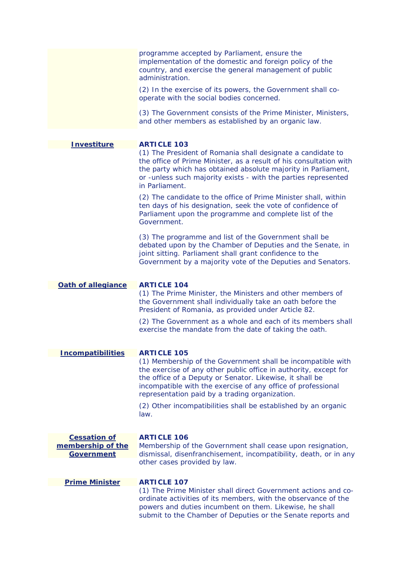|                                        | programme accepted by Parliament, ensure the<br>implementation of the domestic and foreign policy of the<br>country, and exercise the general management of public<br>administration.<br>(2) In the exercise of its powers, the Government shall co-<br>operate with the social bodies concerned.             |
|----------------------------------------|---------------------------------------------------------------------------------------------------------------------------------------------------------------------------------------------------------------------------------------------------------------------------------------------------------------|
|                                        | (3) The Government consists of the Prime Minister, Ministers,<br>and other members as established by an organic law.                                                                                                                                                                                          |
| <b>Investiture</b>                     | <b>ARTICLE 103</b>                                                                                                                                                                                                                                                                                            |
|                                        | (1) The President of Romania shall designate a candidate to<br>the office of Prime Minister, as a result of his consultation with<br>the party which has obtained absolute majority in Parliament,<br>or -unless such majority exists - with the parties represented<br>in Parliament.                        |
|                                        | (2) The candidate to the office of Prime Minister shall, within<br>ten days of his designation, seek the vote of confidence of<br>Parliament upon the programme and complete list of the<br>Government.                                                                                                       |
|                                        | (3) The programme and list of the Government shall be<br>debated upon by the Chamber of Deputies and the Senate, in<br>joint sitting. Parliament shall grant confidence to the<br>Government by a majority vote of the Deputies and Senators.                                                                 |
| Oath of allegiance                     | <b>ARTICLE 104</b>                                                                                                                                                                                                                                                                                            |
|                                        | (1) The Prime Minister, the Ministers and other members of<br>the Government shall individually take an oath before the<br>President of Romania, as provided under Article 82.                                                                                                                                |
|                                        | (2) The Government as a whole and each of its members shall<br>exercise the mandate from the date of taking the oath.                                                                                                                                                                                         |
| <b>Incompatibilities</b>               | <b>ARTICLE 105</b>                                                                                                                                                                                                                                                                                            |
|                                        | (1) Membership of the Government shall be incompatible with<br>the exercise of any other public office in authority, except for<br>the office of a Deputy or Senator. Likewise, it shall be<br>incompatible with the exercise of any office of professional<br>representation paid by a trading organization. |
|                                        | (2) Other incompatibilities shall be established by an organic<br>law.                                                                                                                                                                                                                                        |
| <b>Cessation of</b>                    | <b>ARTICLE 106</b>                                                                                                                                                                                                                                                                                            |
| membership of the<br><b>Government</b> | Membership of the Government shall cease upon resignation,<br>dismissal, disenfranchisement, incompatibility, death, or in any<br>other cases provided by law.                                                                                                                                                |
|                                        |                                                                                                                                                                                                                                                                                                               |
| <b>Prime Minister</b>                  | <b>ARTICLE 107</b>                                                                                                                                                                                                                                                                                            |
|                                        | (1) The Prime Minister shall direct Government actions and co-<br>ordinate activities of its members, with the observance of the<br>powers and duties incumbent on them. Likewise, he shall<br>submit to the Chamber of Deputies or the Senate reports and                                                    |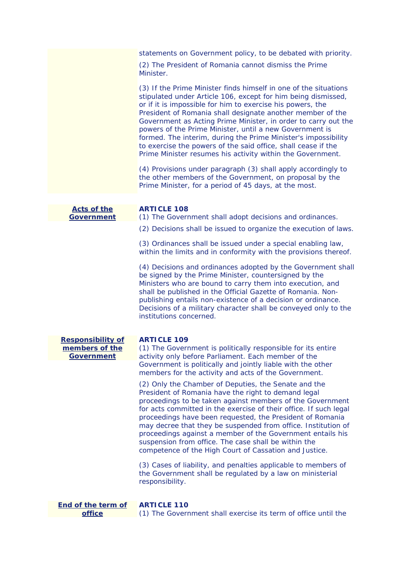statements on Government policy, to be debated with priority.

(2) The President of Romania cannot dismiss the Prime Minister.

Prime Minister resumes his activity within the Government. (3) If the Prime Minister finds himself in one of the situations stipulated under Article 106, except for him being dismissed, or if it is impossible for him to exercise his powers, the President of Romania shall designate another member of the Government as Acting Prime Minister, in order to carry out the powers of the Prime Minister, until a new Government is formed. The interim, during the Prime Minister's impossibility to exercise the powers of the said office, shall cease if the

(4) Provisions under paragraph (3) shall apply accordingly to the other members of the Government, on proposal by the Prime Minister, for a period of 45 days, at the most.

| <b>Acts of the</b><br><b>Government</b>                         | <b>ARTICLE 108</b><br>(1) The Government shall adopt decisions and ordinances.                                                                                                                                                                                                                                                                                                                                                                                                                                                                              |
|-----------------------------------------------------------------|-------------------------------------------------------------------------------------------------------------------------------------------------------------------------------------------------------------------------------------------------------------------------------------------------------------------------------------------------------------------------------------------------------------------------------------------------------------------------------------------------------------------------------------------------------------|
|                                                                 | (2) Decisions shall be issued to organize the execution of laws.                                                                                                                                                                                                                                                                                                                                                                                                                                                                                            |
|                                                                 | (3) Ordinances shall be issued under a special enabling law,<br>within the limits and in conformity with the provisions thereof.                                                                                                                                                                                                                                                                                                                                                                                                                            |
|                                                                 | (4) Decisions and ordinances adopted by the Government shall<br>be signed by the Prime Minister, countersigned by the<br>Ministers who are bound to carry them into execution, and<br>shall be published in the Official Gazette of Romania. Non-<br>publishing entails non-existence of a decision or ordinance.<br>Decisions of a military character shall be conveyed only to the<br>institutions concerned.                                                                                                                                             |
| <b>Responsibility of</b><br>members of the<br><b>Government</b> | <b>ARTICLE 109</b><br>(1) The Government is politically responsible for its entire<br>activity only before Parliament. Each member of the<br>Government is politically and jointly liable with the other<br>members for the activity and acts of the Government.                                                                                                                                                                                                                                                                                            |
|                                                                 | (2) Only the Chamber of Deputies, the Senate and the<br>President of Romania have the right to demand legal<br>proceedings to be taken against members of the Government<br>for acts committed in the exercise of their office. If such legal<br>proceedings have been requested, the President of Romania<br>may decree that they be suspended from office. Institution of<br>proceedings against a member of the Government entails his<br>suspension from office. The case shall be within the<br>competence of the High Court of Cassation and Justice. |
|                                                                 | (3) Cases of liability, and penalties applicable to members of<br>the Government shall be regulated by a law on ministerial<br>responsibility.                                                                                                                                                                                                                                                                                                                                                                                                              |
| <b>End of the term of</b><br>office                             | <b>ARTICLE 110</b><br>(1) The Government shall exercise its term of office until the                                                                                                                                                                                                                                                                                                                                                                                                                                                                        |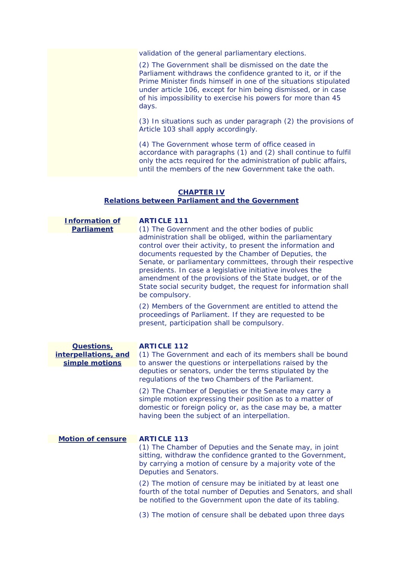validation of the general parliamentary elections.

(2) The Government shall be dismissed on the date the Parliament withdraws the confidence granted to it, or if the Prime Minister finds himself in one of the situations stipulated under article 106, except for him being dismissed, or in case of his impossibility to exercise his powers for more than 45 days.

(3) In situations such as under paragraph (2) the provisions of Article 103 shall apply accordingly.

 until the members of the new Government take the oath. (4) The Government whose term of office ceased in accordance with paragraphs (1) and (2) shall continue to fulfil only the acts required for the administration of public affairs,

# **CHAPTER IV**

#### **Relations between Parliament and the Government**

| <b>Information of</b><br><b>Parliament</b> | <b>ARTICLE 111</b><br>(1) The Government and the other bodies of public                                                                                                                                                                                                                                                                                                                                                                                          |
|--------------------------------------------|------------------------------------------------------------------------------------------------------------------------------------------------------------------------------------------------------------------------------------------------------------------------------------------------------------------------------------------------------------------------------------------------------------------------------------------------------------------|
|                                            | administration shall be obliged, within the parliamentary<br>control over their activity, to present the information and<br>documents requested by the Chamber of Deputies, the<br>Senate, or parliamentary committees, through their respective<br>presidents. In case a legislative initiative involves the<br>amendment of the provisions of the State budget, or of the<br>State social security budget, the request for information shall<br>be compulsory. |
|                                            | (2) Members of the Government are entitled to attend the<br>proceedings of Parliament. If they are requested to be<br>present, participation shall be compulsory.                                                                                                                                                                                                                                                                                                |
| <b>Questions</b> ,                         | <b>ARTICLE 112</b>                                                                                                                                                                                                                                                                                                                                                                                                                                               |
| interpellations, and                       | (1) The Government and each of its members shall be bound                                                                                                                                                                                                                                                                                                                                                                                                        |
| simple motions                             | to answer the questions or interpellations raised by the<br>deputies or senators, under the terms stipulated by the<br>regulations of the two Chambers of the Parliament.                                                                                                                                                                                                                                                                                        |
|                                            | (2) The Chamber of Deputies or the Senate may carry a<br>simple motion expressing their position as to a matter of<br>domestic or foreign policy or, as the case may be, a matter<br>having been the subject of an interpellation.                                                                                                                                                                                                                               |
| <b>Motion of censure</b>                   | <b>ARTICLE 113</b>                                                                                                                                                                                                                                                                                                                                                                                                                                               |
|                                            | (1) The Chamber of Deputies and the Senate may, in joint<br>sitting, withdraw the confidence granted to the Government,<br>by carrying a motion of censure by a majority vote of the<br>Deputies and Senators.                                                                                                                                                                                                                                                   |
|                                            | (2) The motion of censure may be initiated by at least one<br>fourth of the total number of Deputies and Senators, and shall<br>be notified to the Government upon the date of its tabling.                                                                                                                                                                                                                                                                      |
|                                            | (3) The motion of censure shall be debated upon three days                                                                                                                                                                                                                                                                                                                                                                                                       |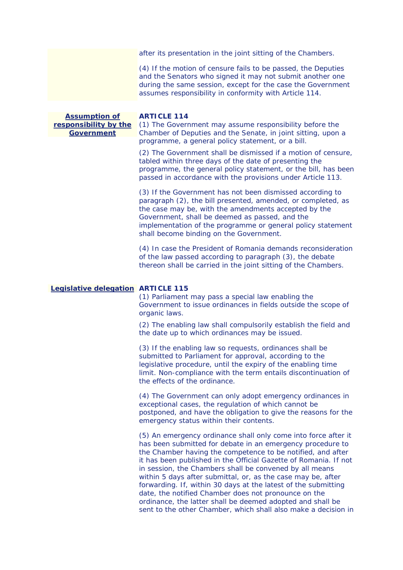after its presentation in the joint sitting of the Chambers.

 $(4)$  If the motion of censure fails to be passed, the Deputies and the Senators who signed it may not submit another one during the same session, except for the case the Government assumes responsibility in conformity with Article 114.

| <b>Assumption of</b>  | <b>ARTICLE 114</b>                                                                                                      |
|-----------------------|-------------------------------------------------------------------------------------------------------------------------|
| responsibility by the | (1) The Government may assume responsibility before the                                                                 |
| <b>Government</b>     | Chamber of Deputies and the Senate, in joint sitting, upon a                                                            |
|                       | programme, a general policy statement, or a bill.                                                                       |
|                       | (2) The Government shall be dismissed if a motion of censure,<br>tabled within three days of the date of presenting the |

programme, the general policy statement, or the bill, has been passed in accordance with the provisions under Article 113.

(3) If the Government has not been dismissed according to paragraph (2), the bill presented, amended, or completed, as the case may be, with the amendments accepted by the Government, shall be deemed as passed, and the implementation of the programme or general policy statement shall become binding on the Government.

 thereon shall be carried in the joint sitting of the Chambers. (4) In case the President of Romania demands reconsideration of the law passed according to paragraph (3), the debate

# **Legislative delegation ARTICLE 115**

(1) Parliament may pass a special law enabling the Government to issue ordinances in fields outside the scope of organic laws.

(2) The enabling law shall compulsorily establish the field and the date up to which ordinances may be issued.

(3) If the enabling law so requests, ordinances shall be submitted to Parliament for approval, according to the legislative procedure, until the expiry of the enabling time limit. Non-compliance with the term entails discontinuation of the effects of the ordinance.

(4) The Government can only adopt emergency ordinances in exceptional cases, the regulation of which cannot be postponed, and have the obligation to give the reasons for the emergency status within their contents.

(5) An emergency ordinance shall only come into force after it has been submitted for debate in an emergency procedure to the Chamber having the competence to be notified, and after it has been published in the Official Gazette of Romania. If not in session, the Chambers shall be convened by all means within 5 days after submittal, or, as the case may be, after forwarding. If, within 30 days at the latest of the submitting date, the notified Chamber does not pronounce on the ordinance, the latter shall be deemed adopted and shall be sent to the other Chamber, which shall also make a decision in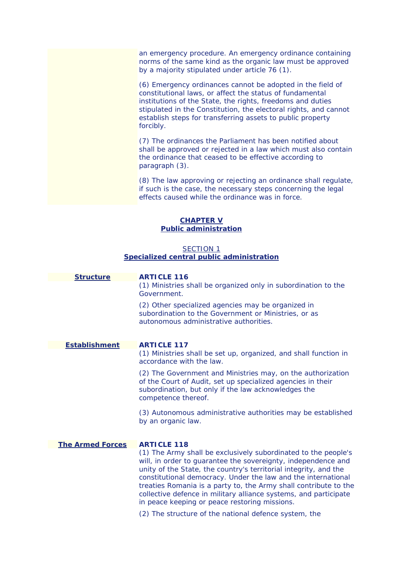an emergency procedure. An emergency ordinance containing norms of the same kind as the organic law must be approved by a majority stipulated under article 76 (1).

forcibly. (6) Emergency ordinances cannot be adopted in the field of constitutional laws, or affect the status of fundamental institutions of the State, the rights, freedoms and duties stipulated in the Constitution, the electoral rights, and cannot establish steps for transferring assets to public property

(7) The ordinances the Parliament has been notified about shall be approved or rejected in a law which must also contain the ordinance that ceased to be effective according to paragraph (3).

(8) The law approving or rejecting an ordinance shall regulate, if such is the case, the necessary steps concerning the legal effects caused while the ordinance was in force.

# **CHAPTER V Public administration**

# *SECTION 1 Specialized central public administration*

| <b>Structure</b>        | <b>ARTICLE 116</b><br>(1) Ministries shall be organized only in subordination to the<br>Government.                                                                                                                                                                                                                                                                                                                                                           |
|-------------------------|---------------------------------------------------------------------------------------------------------------------------------------------------------------------------------------------------------------------------------------------------------------------------------------------------------------------------------------------------------------------------------------------------------------------------------------------------------------|
|                         | (2) Other specialized agencies may be organized in<br>subordination to the Government or Ministries, or as<br>autonomous administrative authorities.                                                                                                                                                                                                                                                                                                          |
| <b>Establishment</b>    | <b>ARTICLE 117</b>                                                                                                                                                                                                                                                                                                                                                                                                                                            |
|                         | (1) Ministries shall be set up, organized, and shall function in<br>accordance with the law.                                                                                                                                                                                                                                                                                                                                                                  |
|                         | (2) The Government and Ministries may, on the authorization<br>of the Court of Audit, set up specialized agencies in their<br>subordination, but only if the law acknowledges the<br>competence thereof.                                                                                                                                                                                                                                                      |
|                         | (3) Autonomous administrative authorities may be established<br>by an organic law.                                                                                                                                                                                                                                                                                                                                                                            |
| <b>The Armed Forces</b> | <b>ARTICLE 118</b>                                                                                                                                                                                                                                                                                                                                                                                                                                            |
|                         | (1) The Army shall be exclusively subordinated to the people's<br>will, in order to guarantee the sovereignty, independence and<br>unity of the State, the country's territorial integrity, and the<br>constitutional democracy. Under the law and the international<br>treaties Romania is a party to, the Army shall contribute to the<br>collective defence in military alliance systems, and participate<br>in peace keeping or peace restoring missions. |
|                         | (2) The structure of the national defence system, the                                                                                                                                                                                                                                                                                                                                                                                                         |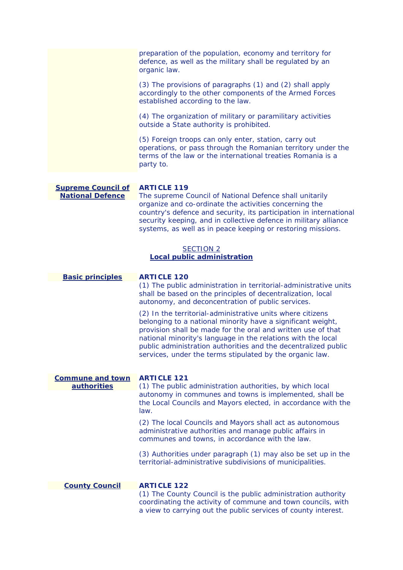|                                                      | preparation of the population, economy and territory for<br>defence, as well as the military shall be regulated by an<br>organic law.                                                                                                                                                                                                                                                   |
|------------------------------------------------------|-----------------------------------------------------------------------------------------------------------------------------------------------------------------------------------------------------------------------------------------------------------------------------------------------------------------------------------------------------------------------------------------|
|                                                      | (3) The provisions of paragraphs (1) and (2) shall apply<br>accordingly to the other components of the Armed Forces<br>established according to the law.                                                                                                                                                                                                                                |
|                                                      | (4) The organization of military or paramilitary activities<br>outside a State authority is prohibited.                                                                                                                                                                                                                                                                                 |
|                                                      | (5) Foreign troops can only enter, station, carry out<br>operations, or pass through the Romanian territory under the<br>terms of the law or the international treaties Romania is a<br>party to.                                                                                                                                                                                       |
| <b>Supreme Council of</b><br><b>National Defence</b> | <b>ARTICLE 119</b><br>The supreme Council of National Defence shall unitarily<br>organize and co-ordinate the activities concerning the<br>country's defence and security, its participation in international<br>security keeping, and in collective defence in military alliance<br>systems, as well as in peace keeping or restoring missions.                                        |
|                                                      | <b>SECTION 2</b><br><b>Local public administration</b>                                                                                                                                                                                                                                                                                                                                  |
|                                                      |                                                                                                                                                                                                                                                                                                                                                                                         |
| <b>Basic principles</b>                              | <b>ARTICLE 120</b><br>(1) The public administration in territorial-administrative units<br>shall be based on the principles of decentralization, local<br>autonomy, and deconcentration of public services.                                                                                                                                                                             |
|                                                      | (2) In the territorial-administrative units where citizens<br>belonging to a national minority have a significant weight,<br>provision shall be made for the oral and written use of that<br>national minority's language in the relations with the local<br>public administration authorities and the decentralized public<br>services, under the terms stipulated by the organic law. |
|                                                      |                                                                                                                                                                                                                                                                                                                                                                                         |
| <b>Commune and town</b>                              | <b>ARTICLE 121</b>                                                                                                                                                                                                                                                                                                                                                                      |
| <b>authorities</b>                                   | (1) The public administration authorities, by which local<br>autonomy in communes and towns is implemented, shall be<br>the Local Councils and Mayors elected, in accordance with the<br>law.                                                                                                                                                                                           |
|                                                      | (2) The local Councils and Mayors shall act as autonomous<br>administrative authorities and manage public affairs in<br>communes and towns, in accordance with the law.                                                                                                                                                                                                                 |
|                                                      | (3) Authorities under paragraph (1) may also be set up in the<br>territorial-administrative subdivisions of municipalities.                                                                                                                                                                                                                                                             |
|                                                      |                                                                                                                                                                                                                                                                                                                                                                                         |
| <b>County Council</b>                                | <b>ARTICLE 122</b><br>(1) The County Council is the public administration authority<br>coordinating the activity of commune and town councils, with<br>a view to carrying out the public services of county interest.                                                                                                                                                                   |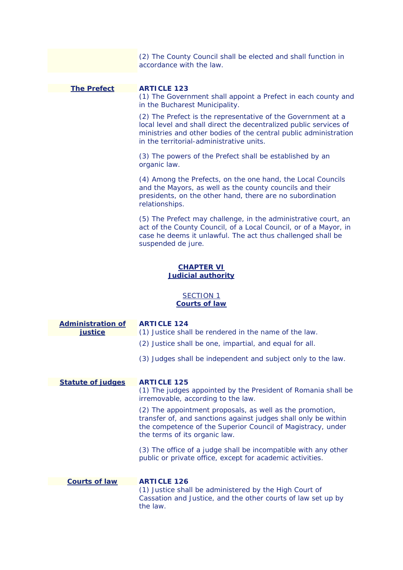|                                          | (2) The County Council shall be elected and shall function in<br>accordance with the law.                                                                                                                                                         |
|------------------------------------------|---------------------------------------------------------------------------------------------------------------------------------------------------------------------------------------------------------------------------------------------------|
|                                          |                                                                                                                                                                                                                                                   |
| <b>The Prefect</b>                       | <b>ARTICLE 123</b><br>(1) The Government shall appoint a Prefect in each county and<br>in the Bucharest Municipality.                                                                                                                             |
|                                          | (2) The Prefect is the representative of the Government at a<br>local level and shall direct the decentralized public services of<br>ministries and other bodies of the central public administration<br>in the territorial-administrative units. |
|                                          | (3) The powers of the Prefect shall be established by an<br>organic law.                                                                                                                                                                          |
|                                          | (4) Among the Prefects, on the one hand, the Local Councils<br>and the Mayors, as well as the county councils and their<br>presidents, on the other hand, there are no subordination<br>relationships.                                            |
|                                          | (5) The Prefect may challenge, in the administrative court, an<br>act of the County Council, of a Local Council, or of a Mayor, in<br>case he deems it unlawful. The act thus challenged shall be<br>suspended de jure.                           |
|                                          | <b>CHAPTER VI</b><br><b>Judicial authority</b>                                                                                                                                                                                                    |
| <b>SECTION 1</b><br><b>Courts of law</b> |                                                                                                                                                                                                                                                   |
| <b>Administration of</b><br>justice      | <b>ARTICLE 124</b><br>(1) Justice shall be rendered in the name of the law.                                                                                                                                                                       |
|                                          | (2) Justice shall be one, impartial, and equal for all.                                                                                                                                                                                           |
|                                          | (3) Judges shall be independent and subject only to the law.                                                                                                                                                                                      |
| <b>Statute of judges</b>                 | <b>ARTICLE 125</b>                                                                                                                                                                                                                                |
|                                          | (1) The judges appointed by the President of Romania shall be<br>irremovable, according to the law.                                                                                                                                               |
|                                          | (2) The appointment proposals, as well as the promotion,<br>transfer of, and sanctions against judges shall only be within<br>the competence of the Superior Council of Magistracy, under<br>the terms of its organic law.                        |
|                                          | (3) The office of a judge shall be incompatible with any other<br>public or private office, except for academic activities.                                                                                                                       |
| <b>Courts of law</b>                     | <b>ARTICLE 126</b>                                                                                                                                                                                                                                |
|                                          | (1) Justice shall be administered by the High Court of<br>Cassation and Justice, and the other courts of law set up by<br>the law.                                                                                                                |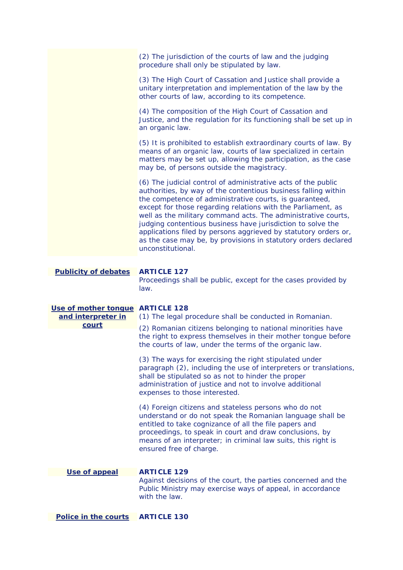|                                                                 | (2) The jurisdiction of the courts of law and the judging<br>procedure shall only be stipulated by law.                                                                                                                                                                                                                                                                                                                                                                                                                                              |
|-----------------------------------------------------------------|------------------------------------------------------------------------------------------------------------------------------------------------------------------------------------------------------------------------------------------------------------------------------------------------------------------------------------------------------------------------------------------------------------------------------------------------------------------------------------------------------------------------------------------------------|
|                                                                 | (3) The High Court of Cassation and Justice shall provide a<br>unitary interpretation and implementation of the law by the<br>other courts of law, according to its competence.                                                                                                                                                                                                                                                                                                                                                                      |
|                                                                 | (4) The composition of the High Court of Cassation and<br>Justice, and the regulation for its functioning shall be set up in<br>an organic law.                                                                                                                                                                                                                                                                                                                                                                                                      |
|                                                                 | (5) It is prohibited to establish extraordinary courts of law. By<br>means of an organic law, courts of law specialized in certain<br>matters may be set up, allowing the participation, as the case<br>may be, of persons outside the magistracy.                                                                                                                                                                                                                                                                                                   |
|                                                                 | (6) The judicial control of administrative acts of the public<br>authorities, by way of the contentious business falling within<br>the competence of administrative courts, is guaranteed,<br>except for those regarding relations with the Parliament, as<br>well as the military command acts. The administrative courts,<br>judging contentious business have jurisdiction to solve the<br>applications filed by persons aggrieved by statutory orders or,<br>as the case may be, by provisions in statutory orders declared<br>unconstitutional. |
| <b>Publicity of debates</b>                                     | <b>ARTICLE 127</b>                                                                                                                                                                                                                                                                                                                                                                                                                                                                                                                                   |
|                                                                 | Proceedings shall be public, except for the cases provided by<br>law.                                                                                                                                                                                                                                                                                                                                                                                                                                                                                |
|                                                                 |                                                                                                                                                                                                                                                                                                                                                                                                                                                                                                                                                      |
| Use of mother tongue ARTICLE 128<br>and interpreter in<br>court | (1) The legal procedure shall be conducted in Romanian.<br>(2) Romanian citizens belonging to national minorities have<br>the right to express themselves in their mother tongue before                                                                                                                                                                                                                                                                                                                                                              |
|                                                                 | the courts of law, under the terms of the organic law.<br>(3) The ways for exercising the right stipulated under<br>paragraph (2), including the use of interpreters or translations,<br>shall be stipulated so as not to hinder the proper<br>administration of justice and not to involve additional<br>expenses to those interested.                                                                                                                                                                                                              |
|                                                                 | (4) Foreign citizens and stateless persons who do not<br>understand or do not speak the Romanian language shall be<br>entitled to take cognizance of all the file papers and<br>proceedings, to speak in court and draw conclusions, by<br>means of an interpreter; in criminal law suits, this right is<br>ensured free of charge.                                                                                                                                                                                                                  |
| Use of appeal                                                   | <b>ARTICLE 129</b>                                                                                                                                                                                                                                                                                                                                                                                                                                                                                                                                   |
|                                                                 | Against decisions of the court, the parties concerned and the<br>Public Ministry may exercise ways of appeal, in accordance<br>with the law.                                                                                                                                                                                                                                                                                                                                                                                                         |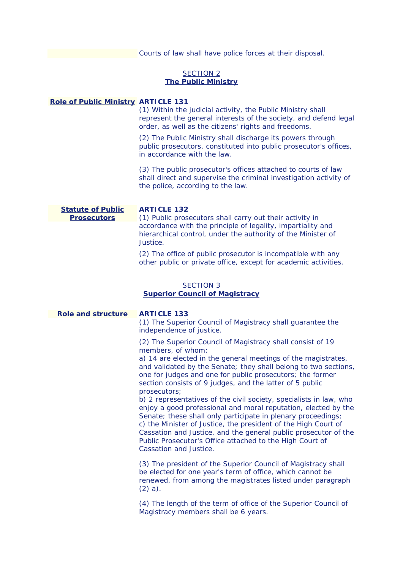Courts of law shall have police forces at their disposal.

# *SECTION 2 The Public Ministry*

# **Role of Public Ministry ARTICLE 131**

(1) Within the judicial activity, the Public Ministry shall represent the general interests of the society, and defend legal order, as well as the citizens' rights and freedoms.

(2) The Public Ministry shall discharge its powers through public prosecutors, constituted into public prosecutor's offices, in accordance with the law.

 the police, according to the law. (3) The public prosecutor's offices attached to courts of law shall direct and supervise the criminal investigation activity of

**Statute of Public ARTICLE 132** 

**Prosecutors** (1) Public prosecutors shall carry out their activity in accordance with the principle of legality, impartiality and hierarchical control, under the authority of the Minister of Justice.

> (2) The office of public prosecutor is incompatible with any other public or private office, except for academic activities.

# *SECTION 3 Superior Council of Magistracy*

**Role and structure ARTICLE 133** 

(1) The Superior Council of Magistracy shall guarantee the independence of justice.

(2) The Superior Council of Magistracy shall consist of 19 members, of whom:

a) 14 are elected in the general meetings of the magistrates, and validated by the Senate; they shall belong to two sections, one for judges and one for public prosecutors; the former section consists of 9 judges, and the latter of 5 public prosecutors;

Senate; these shall only participate in plenary proceedings; b) 2 representatives of the civil society, specialists in law, who enjoy a good professional and moral reputation, elected by the c) the Minister of Justice, the president of the High Court of Cassation and Justice, and the general public prosecutor of the Public Prosecutor's Office attached to the High Court of Cassation and Justice.

(3) The president of the Superior Council of Magistracy shall be elected for one year's term of office, which cannot be renewed, from among the magistrates listed under paragraph (2) a).

(4) The length of the term of office of the Superior Council of Magistracy members shall be 6 years.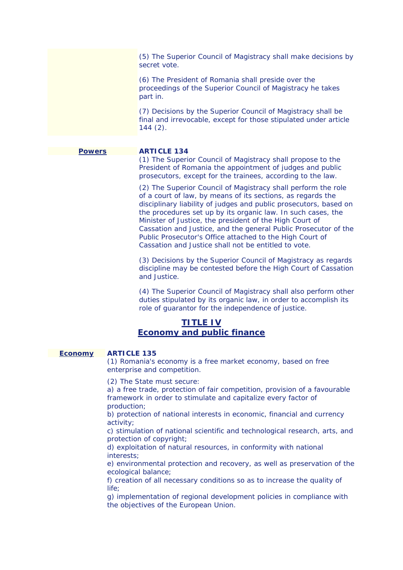(5) The Superior Council of Magistracy shall make decisions by secret vote.

(6) The President of Romania shall preside over the proceedings of the Superior Council of Magistracy he takes part in.

(7) Decisions by the Superior Council of Magistracy shall be final and irrevocable, except for those stipulated under article 144 (2).

# **Powers ARTICLE 134**

(1) The Superior Council of Magistracy shall propose to the President of Romania the appointment of judges and public prosecutors, except for the trainees, according to the law.

(2) The Superior Council of Magistracy shall perform the role of a court of law, by means of its sections, as regards the disciplinary liability of judges and public prosecutors, based on the procedures set up by its organic law. In such cases, the Minister of Justice, the president of the High Court of Cassation and Justice, and the general Public Prosecutor of the Public Prosecutor's Office attached to the High Court of Cassation and Justice shall not be entitled to vote.

(3) Decisions by the Superior Council of Magistracy as regards discipline may be contested before the High Court of Cassation and Justice.

(4) The Superior Council of Magistracy shall also perform other duties stipulated by its organic law, in order to accomplish its role of guarantor for the independence of justice.

# **TITLE IV Economy and public finance**

# **Economy ARTICLE 135**

(1) Romania's economy is a free market economy, based on free enterprise and competition.

(2) The State must secure:

a) a free trade, protection of fair competition, provision of a favourable framework in order to stimulate and capitalize every factor of production;

b) protection of national interests in economic, financial and currency activity;

c) stimulation of national scientific and technological research, arts, and protection of copyright;

d) exploitation of natural resources, in conformity with national interests;

e) environmental protection and recovery, as well as preservation of the ecological balance;

f) creation of all necessary conditions so as to increase the quality of  $l$ ife;

g) implementation of regional development policies in compliance with the objectives of the European Union.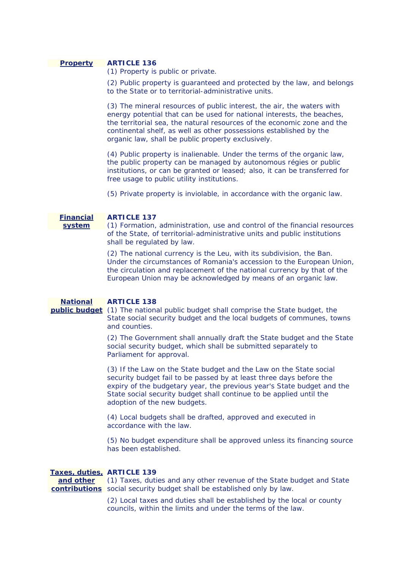# **Property ARTICLE 136**

(1) Property is public or private.

(2) Public property is quaranteed and protected by the law, and belongs to the State or to territorial-administrative units.

organic law, shall be public property exclusively. (3) The mineral resources of public interest, the air, the waters with energy potential that can be used for national interests, the beaches, the territorial sea, the natural resources of the economic zone and the continental shelf, as well as other possessions established by the

free usage to public utility institutions. free usage to public utility institutions.<br>(5) Private property is inviolable, in accordance with the organic law. (4) Public property is inalienable. Under the terms of the organic law, the public property can be managed by autonomous régies or public institutions, or can be granted or leased; also, it can be transferred for

## **Financial ARTICLE 137**

**system** (1) Formation, administration, use and control of the financial resources of the State, of territorial-administrative units and public institutions shall be regulated by law.

> (2) The national currency is the Leu, with its subdivision, the Ban. Under the circumstances of Romania's accession to the European Union, the circulation and replacement of the national currency by that of the European Union may be acknowledged by means of an organic law.

# **National ARTICLE 138**

# **public budget** (1) The national public budget shall comprise the State budget, the State social security budget and the local budgets of communes, towns and counties.

 Parliament for approval. (2) The Government shall annually draft the State budget and the State social security budget, which shall be submitted separately to

(3) If the Law on the State budget and the Law on the State social security budget fail to be passed by at least three days before the expiry of the budgetary year, the previous year's State budget and the State social security budget shall continue to be applied until the adoption of the new budgets.

(4) Local budgets shall be drafted, approved and executed in accordance with the law.

(5) No budget expenditure shall be approved unless its financing source has been established.

# **Taxes, duties, ARTICLE 139**

contributions social security budget shall be established only by law. **and other** (1) Taxes, duties and any other revenue of the State budget and State

> councils, within the limits and under the terms of the law. (2) Local taxes and duties shall be established by the local or county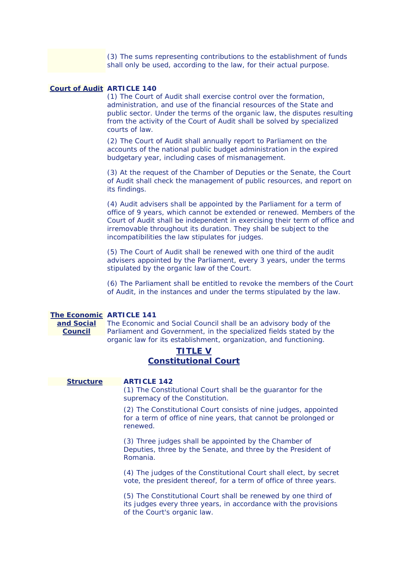shall only be used, according to the law, for their actual purpose. (3) The sums representing contributions to the establishment of funds

# **Court of Audit ARTICLE 140**

(1) The Court of Audit shall exercise control over the formation, administration, and use of the financial resources of the State and public sector. Under the terms of the organic law, the disputes resulting from the activity of the Court of Audit shall be solved by specialized courts of law.

(2) The Court of Audit shall annually report to Parliament on the accounts of the national public budget administration in the expired budgetary year, including cases of mismanagement.

(3) At the request of the Chamber of Deputies or the Senate, the Court of Audit shall check the management of public resources, and report on its findings.

incompatibilities the law stipulates for judges. (4) Audit advisers shall be appointed by the Parliament for a term of office of 9 years, which cannot be extended or renewed. Members of the Court of Audit shall be independent in exercising their term of office and irremovable throughout its duration. They shall be subject to the

(5) The Court of Audit shall be renewed with one third of the audit advisers appointed by the Parliament, every 3 years, under the terms stipulated by the organic law of the Court.

 of Audit, in the instances and under the terms stipulated by the law. (6) The Parliament shall be entitled to revoke the members of the Court

# **The Economic ARTICLE 141**

**Council** 

**and Social** The Economic and Social Council shall be an advisory body of the Parliament and Government, in the specialized fields stated by the organic law for its establishment, organization, and functioning.

# **TITLE V Constitutional Court**

# **Structure ARTICLE 142**

(1) The Constitutional Court shall be the guarantor for the supremacy of the Constitution.

(2) The Constitutional Court consists of nine judges, appointed for a term of office of nine years, that cannot be prolonged or renewed.

(3) Three judges shall be appointed by the Chamber of Deputies, three by the Senate, and three by the President of Romania.

(4) The judges of the Constitutional Court shall elect, by secret vote, the president thereof, for a term of office of three years.

(5) The Constitutional Court shall be renewed by one third of its judges every three years, in accordance with the provisions of the Court's organic law.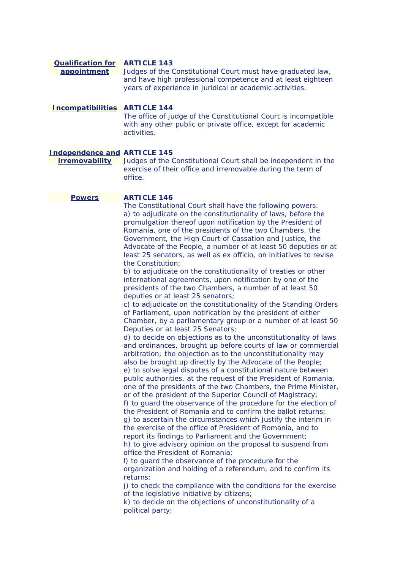#### **Qualification for ARTICLE 143 appointment**  Judges of the Constitutional Court must have graduated law, and have high professional competence and at least eighteen years of experience in juridical or academic activities.

**Incompatibilities ARTICLE 144**  The office of judge of the Constitutional Court is incompatible with any other public or private office, except for academic activities.

# **Independence and ARTICLE 145**

**irremovability** Judges of the Constitutional Court shall be independent in the exercise of their office and irremovable during the term of office.

# **Powers ARTICLE 146**

The Constitutional Court shall have the following powers: a) to adjudicate on the constitutionality of laws, before the promulgation thereof upon notification by the President of Romania, one of the presidents of the two Chambers, the Government, the High Court of Cassation and Justice, the Advocate of the People, a number of at least 50 deputies or at least 25 senators, as well as ex officio, on initiatives to revise the Constitution;

b) to adjudicate on the constitutionality of treaties or other international agreements, upon notification by one of the presidents of the two Chambers, a number of at least 50 deputies or at least 25 senators;

c) to adjudicate on the constitutionality of the Standing Orders of Parliament, upon notification by the president of either Chamber, by a parliamentary group or a number of at least 50 Deputies or at least 25 Senators;

report its findings to Parliament and the Government; d) to decide on objections as to the unconstitutionality of laws and ordinances, brought up before courts of law or commercial arbitration; the objection as to the unconstitutionality may also be brought up directly by the Advocate of the People; e) to solve legal disputes of a constitutional nature between public authorities, at the request of the President of Romania, one of the presidents of the two Chambers, the Prime Minister, or of the president of the Superior Council of Magistracy; f) to guard the observance of the procedure for the election of the President of Romania and to confirm the ballot returns; g) to ascertain the circumstances which justify the interim in the exercise of the office of President of Romania, and to h) to give advisory opinion on the proposal to suspend from

office the President of Romania;

l) to guard the observance of the procedure for the organization and holding of a referendum, and to confirm its returns;

 of the legislative initiative by citizens; i) to check the compliance with the conditions for the exercise

 political party; k) to decide on the objections of unconstitutionality of a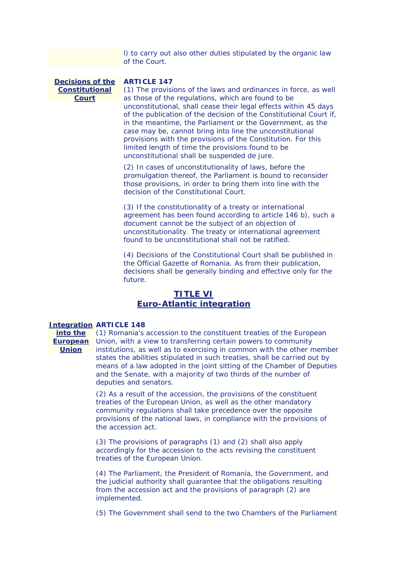l) to carry out also other duties stipulated by the organic law of the Court.

**Decisions of the ARTICLE 147 Constitutional Court** 

unconstitutional shall be suspended de jure. (1) The provisions of the laws and ordinances in force, as well as those of the regulations, which are found to be unconstitutional, shall cease their legal effects within 45 days of the publication of the decision of the Constitutional Court if, in the meantime, the Parliament or the Government, as the case may be, cannot bring into line the unconstitutional provisions with the provisions of the Constitution. For this limited length of time the provisions found to be

decision of the Constitutional Court.  $(2)$  In cases of unconstitutionality of laws, before the promulgation thereof, the Parliament is bound to reconsider those provisions, in order to bring them into line with the

found to be unconstitutional shall not be ratified.  $(3)$  If the constitutionality of a treaty or international agreement has been found according to article 146 b), such a document cannot be the subject of an objection of unconstitutionality. The treaty or international agreement

(4) Decisions of the Constitutional Court shall be published in the Official Gazette of Romania. As from their publication, decisions shall be generally binding and effective only for the future.

# **TITLE VI Euro-Atlantic integration**

### **Integration ARTICLE 148**

**Union** 

**into the** (1) Romania's accession to the constituent treaties of the European **European** Union, with a view to transferring certain powers to community institutions, as well as to exercising in common with the other member states the abilities stipulated in such treaties, shall be carried out by means of a law adopted in the joint sitting of the Chamber of Deputies and the Senate, with a majority of two thirds of the number of deputies and senators.

> (2) As a result of the accession, the provisions of the constituent treaties of the European Union, as well as the other mandatory community regulations shall take precedence over the opposite provisions of the national laws, in compliance with the provisions of the accession act.

(3) The provisions of paragraphs (1) and (2) shall also apply accordingly for the accession to the acts revising the constituent treaties of the European Union.

(4) The Parliament, the President of Romania, the Government, and the judicial authority shall guarantee that the obligations resulting from the accession act and the provisions of paragraph (2) are implemented.

(5) The Government shall send to the two Chambers of the Parliament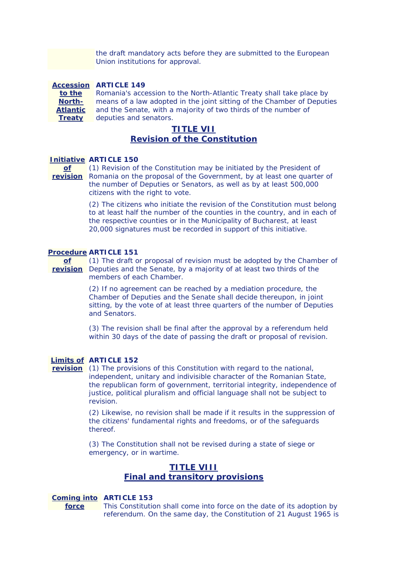Union institutions for approval. the draft mandatory acts before they are submitted to the European

 Romania's accession to the North-Atlantic Treaty shall take place by **Accession ARTICLE 149 to the North-**Atlantic and the Senate, with a majority of two thirds of the number of **Treaty**  deputies and senators. means of a law adopted in the joint sitting of the Chamber of Deputies

# **TITLE VII Revision of the Constitution**

## **Initiative ARTICLE 150**

citizens with the right to vote. **of** (1) Revision of the Constitution may be initiated by the President of **revision** Romania on the proposal of the Government, by at least one quarter of the number of Deputies or Senators, as well as by at least 500,000

> (2) The citizens who initiate the revision of the Constitution must belong to at least half the number of the counties in the country, and in each of the respective counties or in the Municipality of Bucharest, at least 20,000 signatures must be recorded in support of this initiative.

#### **Procedure ARTICLE 151**

**of** (1) The draft or proposal of revision must be adopted by the Chamber of **revision** Deputies and the Senate, by a majority of at least two thirds of the members of each Chamber.

> (2) If no agreement can be reached by a mediation procedure, the Chamber of Deputies and the Senate shall decide thereupon, in joint sitting, by the vote of at least three quarters of the number of Deputies and Senators.

(3) The revision shall be final after the approval by a referendum held within 30 days of the date of passing the draft or proposal of revision.

# **Limits of ARTICLE 152**

 justice, political pluralism and official language shall not be subject to **revision** (1) The provisions of this Constitution with regard to the national, independent, unitary and indivisible character of the Romanian State, the republican form of government, territorial integrity, independence of revision.

> (2) Likewise, no revision shall be made if it results in the suppression of the citizens' fundamental rights and freedoms, or of the safeguards thereof.

(3) The Constitution shall not be revised during a state of siege or emergency, or in wartime.

# **TITLE VIII Final and transitory provisions**

#### **Coming into ARTICLE 153**

**force** This Constitution shall come into force on the date of its adoption by referendum. On the same day, the Constitution of 21 August 1965 is